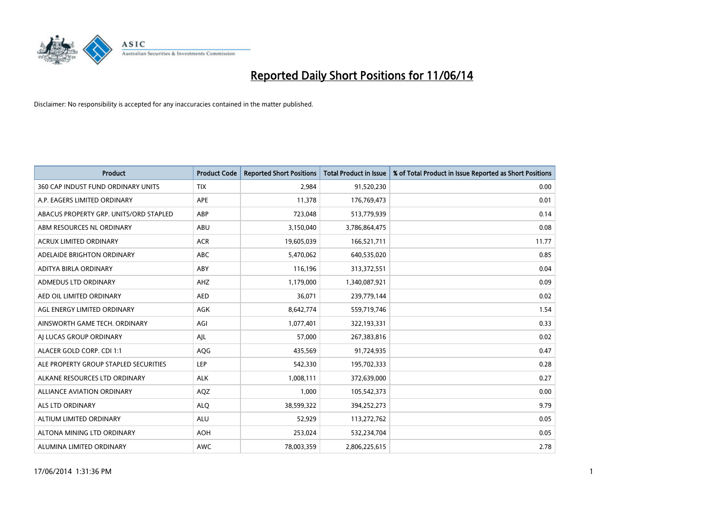

| <b>Product</b>                         | <b>Product Code</b> | <b>Reported Short Positions</b> | Total Product in Issue | % of Total Product in Issue Reported as Short Positions |
|----------------------------------------|---------------------|---------------------------------|------------------------|---------------------------------------------------------|
| 360 CAP INDUST FUND ORDINARY UNITS     | <b>TIX</b>          | 2.984                           | 91,520,230             | 0.00                                                    |
| A.P. EAGERS LIMITED ORDINARY           | <b>APE</b>          | 11,378                          | 176,769,473            | 0.01                                                    |
| ABACUS PROPERTY GRP. UNITS/ORD STAPLED | <b>ABP</b>          | 723,048                         | 513,779,939            | 0.14                                                    |
| ABM RESOURCES NL ORDINARY              | <b>ABU</b>          | 3,150,040                       | 3,786,864,475          | 0.08                                                    |
| <b>ACRUX LIMITED ORDINARY</b>          | <b>ACR</b>          | 19,605,039                      | 166,521,711            | 11.77                                                   |
| ADELAIDE BRIGHTON ORDINARY             | <b>ABC</b>          | 5,470,062                       | 640,535,020            | 0.85                                                    |
| ADITYA BIRLA ORDINARY                  | <b>ABY</b>          | 116,196                         | 313,372,551            | 0.04                                                    |
| ADMEDUS LTD ORDINARY                   | AHZ                 | 1,179,000                       | 1,340,087,921          | 0.09                                                    |
| AED OIL LIMITED ORDINARY               | <b>AED</b>          | 36,071                          | 239,779,144            | 0.02                                                    |
| AGL ENERGY LIMITED ORDINARY            | <b>AGK</b>          | 8,642,774                       | 559,719,746            | 1.54                                                    |
| AINSWORTH GAME TECH. ORDINARY          | AGI                 | 1,077,401                       | 322,193,331            | 0.33                                                    |
| AI LUCAS GROUP ORDINARY                | AJL                 | 57,000                          | 267,383,816            | 0.02                                                    |
| ALACER GOLD CORP. CDI 1:1              | AQG                 | 435,569                         | 91,724,935             | 0.47                                                    |
| ALE PROPERTY GROUP STAPLED SECURITIES  | <b>LEP</b>          | 542,330                         | 195,702,333            | 0.28                                                    |
| ALKANE RESOURCES LTD ORDINARY          | <b>ALK</b>          | 1,008,111                       | 372,639,000            | 0.27                                                    |
| ALLIANCE AVIATION ORDINARY             | AQZ                 | 1,000                           | 105,542,373            | 0.00                                                    |
| ALS LTD ORDINARY                       | <b>ALQ</b>          | 38,599,322                      | 394,252,273            | 9.79                                                    |
| ALTIUM LIMITED ORDINARY                | <b>ALU</b>          | 52,929                          | 113,272,762            | 0.05                                                    |
| ALTONA MINING LTD ORDINARY             | <b>AOH</b>          | 253,024                         | 532,234,704            | 0.05                                                    |
| ALUMINA LIMITED ORDINARY               | <b>AWC</b>          | 78,003,359                      | 2,806,225,615          | 2.78                                                    |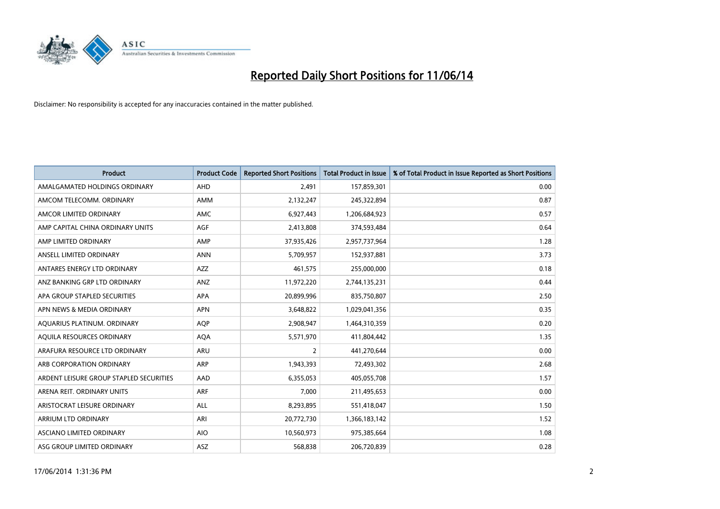

| <b>Product</b>                          | <b>Product Code</b> | <b>Reported Short Positions</b> | Total Product in Issue | % of Total Product in Issue Reported as Short Positions |
|-----------------------------------------|---------------------|---------------------------------|------------------------|---------------------------------------------------------|
| AMALGAMATED HOLDINGS ORDINARY           | <b>AHD</b>          | 2,491                           | 157,859,301            | 0.00                                                    |
| AMCOM TELECOMM. ORDINARY                | AMM                 | 2,132,247                       | 245,322,894            | 0.87                                                    |
| AMCOR LIMITED ORDINARY                  | <b>AMC</b>          | 6,927,443                       | 1,206,684,923          | 0.57                                                    |
| AMP CAPITAL CHINA ORDINARY UNITS        | AGF                 | 2,413,808                       | 374,593,484            | 0.64                                                    |
| AMP LIMITED ORDINARY                    | AMP                 | 37,935,426                      | 2,957,737,964          | 1.28                                                    |
| ANSELL LIMITED ORDINARY                 | <b>ANN</b>          | 5,709,957                       | 152,937,881            | 3.73                                                    |
| ANTARES ENERGY LTD ORDINARY             | AZZ                 | 461,575                         | 255,000,000            | 0.18                                                    |
| ANZ BANKING GRP LTD ORDINARY            | ANZ                 | 11,972,220                      | 2,744,135,231          | 0.44                                                    |
| APA GROUP STAPLED SECURITIES            | <b>APA</b>          | 20,899,996                      | 835,750,807            | 2.50                                                    |
| APN NEWS & MEDIA ORDINARY               | <b>APN</b>          | 3,648,822                       | 1,029,041,356          | 0.35                                                    |
| AQUARIUS PLATINUM. ORDINARY             | <b>AOP</b>          | 2,908,947                       | 1,464,310,359          | 0.20                                                    |
| AQUILA RESOURCES ORDINARY               | <b>AQA</b>          | 5,571,970                       | 411,804,442            | 1.35                                                    |
| ARAFURA RESOURCE LTD ORDINARY           | <b>ARU</b>          | $\overline{2}$                  | 441,270,644            | 0.00                                                    |
| ARB CORPORATION ORDINARY                | ARP                 | 1,943,393                       | 72,493,302             | 2.68                                                    |
| ARDENT LEISURE GROUP STAPLED SECURITIES | AAD                 | 6,355,053                       | 405,055,708            | 1.57                                                    |
| ARENA REIT. ORDINARY UNITS              | ARF                 | 7,000                           | 211,495,653            | 0.00                                                    |
| ARISTOCRAT LEISURE ORDINARY             | ALL                 | 8,293,895                       | 551,418,047            | 1.50                                                    |
| ARRIUM LTD ORDINARY                     | ARI                 | 20,772,730                      | 1,366,183,142          | 1.52                                                    |
| ASCIANO LIMITED ORDINARY                | <b>AIO</b>          | 10,560,973                      | 975,385,664            | 1.08                                                    |
| ASG GROUP LIMITED ORDINARY              | ASZ                 | 568,838                         | 206,720,839            | 0.28                                                    |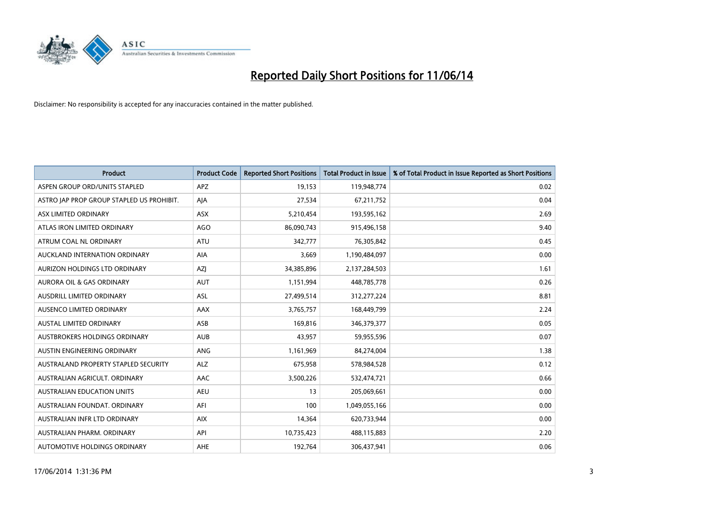

| <b>Product</b>                            | <b>Product Code</b> | <b>Reported Short Positions</b> | Total Product in Issue | % of Total Product in Issue Reported as Short Positions |
|-------------------------------------------|---------------------|---------------------------------|------------------------|---------------------------------------------------------|
| ASPEN GROUP ORD/UNITS STAPLED             | <b>APZ</b>          | 19,153                          | 119,948,774            | 0.02                                                    |
| ASTRO JAP PROP GROUP STAPLED US PROHIBIT. | AJA                 | 27,534                          | 67,211,752             | 0.04                                                    |
| ASX LIMITED ORDINARY                      | ASX                 | 5,210,454                       | 193,595,162            | 2.69                                                    |
| ATLAS IRON LIMITED ORDINARY               | <b>AGO</b>          | 86,090,743                      | 915,496,158            | 9.40                                                    |
| ATRUM COAL NL ORDINARY                    | <b>ATU</b>          | 342,777                         | 76,305,842             | 0.45                                                    |
| AUCKLAND INTERNATION ORDINARY             | AIA                 | 3,669                           | 1,190,484,097          | 0.00                                                    |
| AURIZON HOLDINGS LTD ORDINARY             | AZJ                 | 34,385,896                      | 2,137,284,503          | 1.61                                                    |
| AURORA OIL & GAS ORDINARY                 | <b>AUT</b>          | 1,151,994                       | 448,785,778            | 0.26                                                    |
| AUSDRILL LIMITED ORDINARY                 | <b>ASL</b>          | 27,499,514                      | 312,277,224            | 8.81                                                    |
| AUSENCO LIMITED ORDINARY                  | AAX                 | 3,765,757                       | 168,449,799            | 2.24                                                    |
| AUSTAL LIMITED ORDINARY                   | ASB                 | 169,816                         | 346,379,377            | 0.05                                                    |
| AUSTBROKERS HOLDINGS ORDINARY             | <b>AUB</b>          | 43,957                          | 59,955,596             | 0.07                                                    |
| AUSTIN ENGINEERING ORDINARY               | ANG                 | 1,161,969                       | 84,274,004             | 1.38                                                    |
| AUSTRALAND PROPERTY STAPLED SECURITY      | <b>ALZ</b>          | 675,958                         | 578,984,528            | 0.12                                                    |
| AUSTRALIAN AGRICULT, ORDINARY             | AAC                 | 3,500,226                       | 532,474,721            | 0.66                                                    |
| AUSTRALIAN EDUCATION UNITS                | <b>AEU</b>          | 13                              | 205,069,661            | 0.00                                                    |
| AUSTRALIAN FOUNDAT. ORDINARY              | AFI                 | 100                             | 1,049,055,166          | 0.00                                                    |
| AUSTRALIAN INFR LTD ORDINARY              | <b>AIX</b>          | 14,364                          | 620,733,944            | 0.00                                                    |
| AUSTRALIAN PHARM, ORDINARY                | API                 | 10,735,423                      | 488,115,883            | 2.20                                                    |
| AUTOMOTIVE HOLDINGS ORDINARY              | <b>AHE</b>          | 192,764                         | 306,437,941            | 0.06                                                    |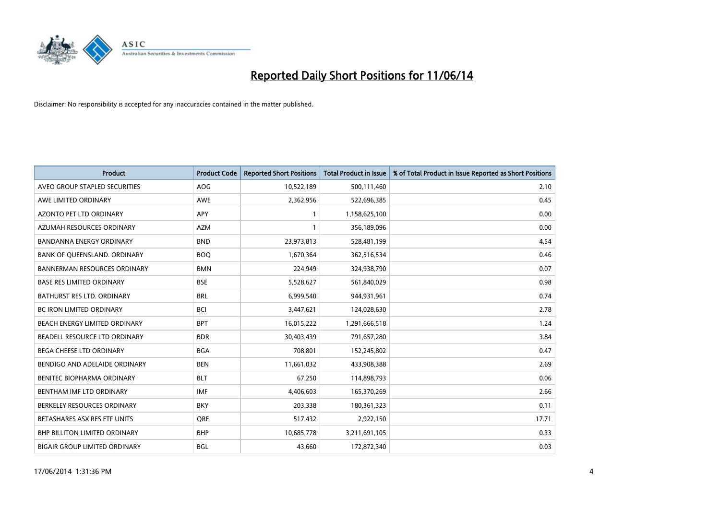

| <b>Product</b>                       | <b>Product Code</b> | <b>Reported Short Positions</b> | <b>Total Product in Issue</b> | % of Total Product in Issue Reported as Short Positions |
|--------------------------------------|---------------------|---------------------------------|-------------------------------|---------------------------------------------------------|
| AVEO GROUP STAPLED SECURITIES        | <b>AOG</b>          | 10,522,189                      | 500,111,460                   | 2.10                                                    |
| AWE LIMITED ORDINARY                 | <b>AWE</b>          | 2,362,956                       | 522,696,385                   | 0.45                                                    |
| <b>AZONTO PET LTD ORDINARY</b>       | <b>APY</b>          | $\mathbf{1}$                    | 1,158,625,100                 | 0.00                                                    |
| AZUMAH RESOURCES ORDINARY            | <b>AZM</b>          | $\mathbf{1}$                    | 356,189,096                   | 0.00                                                    |
| <b>BANDANNA ENERGY ORDINARY</b>      | <b>BND</b>          | 23,973,813                      | 528,481,199                   | 4.54                                                    |
| BANK OF QUEENSLAND. ORDINARY         | <b>BOQ</b>          | 1,670,364                       | 362,516,534                   | 0.46                                                    |
| <b>BANNERMAN RESOURCES ORDINARY</b>  | <b>BMN</b>          | 224,949                         | 324,938,790                   | 0.07                                                    |
| <b>BASE RES LIMITED ORDINARY</b>     | <b>BSE</b>          | 5,528,627                       | 561,840,029                   | 0.98                                                    |
| <b>BATHURST RES LTD. ORDINARY</b>    | <b>BRL</b>          | 6,999,540                       | 944,931,961                   | 0.74                                                    |
| <b>BC IRON LIMITED ORDINARY</b>      | <b>BCI</b>          | 3,447,621                       | 124,028,630                   | 2.78                                                    |
| BEACH ENERGY LIMITED ORDINARY        | <b>BPT</b>          | 16,015,222                      | 1,291,666,518                 | 1.24                                                    |
| BEADELL RESOURCE LTD ORDINARY        | <b>BDR</b>          | 30,403,439                      | 791,657,280                   | 3.84                                                    |
| BEGA CHEESE LTD ORDINARY             | <b>BGA</b>          | 708,801                         | 152,245,802                   | 0.47                                                    |
| BENDIGO AND ADELAIDE ORDINARY        | <b>BEN</b>          | 11,661,032                      | 433,908,388                   | 2.69                                                    |
| BENITEC BIOPHARMA ORDINARY           | <b>BLT</b>          | 67,250                          | 114,898,793                   | 0.06                                                    |
| BENTHAM IMF LTD ORDINARY             | <b>IMF</b>          | 4,406,603                       | 165,370,269                   | 2.66                                                    |
| BERKELEY RESOURCES ORDINARY          | <b>BKY</b>          | 203,338                         | 180,361,323                   | 0.11                                                    |
| BETASHARES ASX RES ETF UNITS         | <b>ORE</b>          | 517,432                         | 2,922,150                     | 17.71                                                   |
| <b>BHP BILLITON LIMITED ORDINARY</b> | <b>BHP</b>          | 10,685,778                      | 3,211,691,105                 | 0.33                                                    |
| <b>BIGAIR GROUP LIMITED ORDINARY</b> | BGL                 | 43,660                          | 172,872,340                   | 0.03                                                    |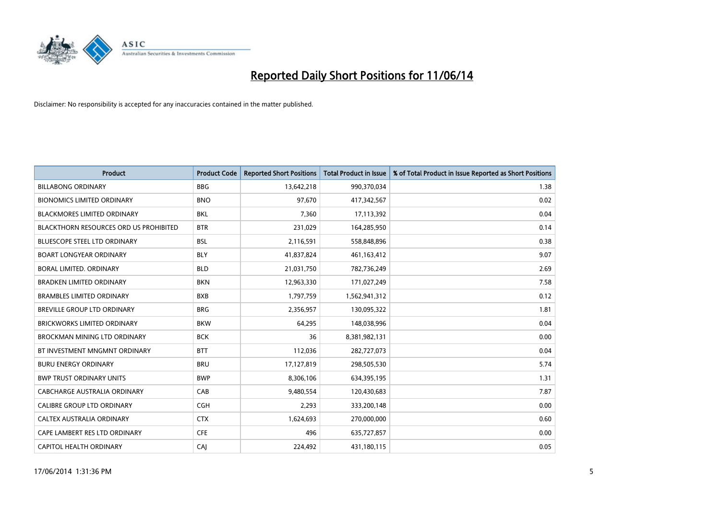

| <b>Product</b>                         | <b>Product Code</b> | <b>Reported Short Positions</b> | Total Product in Issue | % of Total Product in Issue Reported as Short Positions |
|----------------------------------------|---------------------|---------------------------------|------------------------|---------------------------------------------------------|
| <b>BILLABONG ORDINARY</b>              | <b>BBG</b>          | 13,642,218                      | 990,370,034            | 1.38                                                    |
| <b>BIONOMICS LIMITED ORDINARY</b>      | <b>BNO</b>          | 97,670                          | 417,342,567            | 0.02                                                    |
| <b>BLACKMORES LIMITED ORDINARY</b>     | <b>BKL</b>          | 7.360                           | 17,113,392             | 0.04                                                    |
| BLACKTHORN RESOURCES ORD US PROHIBITED | <b>BTR</b>          | 231,029                         | 164,285,950            | 0.14                                                    |
| <b>BLUESCOPE STEEL LTD ORDINARY</b>    | <b>BSL</b>          | 2,116,591                       | 558,848,896            | 0.38                                                    |
| <b>BOART LONGYEAR ORDINARY</b>         | <b>BLY</b>          | 41,837,824                      | 461,163,412            | 9.07                                                    |
| <b>BORAL LIMITED, ORDINARY</b>         | <b>BLD</b>          | 21,031,750                      | 782,736,249            | 2.69                                                    |
| <b>BRADKEN LIMITED ORDINARY</b>        | <b>BKN</b>          | 12,963,330                      | 171,027,249            | 7.58                                                    |
| <b>BRAMBLES LIMITED ORDINARY</b>       | <b>BXB</b>          | 1,797,759                       | 1,562,941,312          | 0.12                                                    |
| <b>BREVILLE GROUP LTD ORDINARY</b>     | <b>BRG</b>          | 2,356,957                       | 130,095,322            | 1.81                                                    |
| <b>BRICKWORKS LIMITED ORDINARY</b>     | <b>BKW</b>          | 64,295                          | 148,038,996            | 0.04                                                    |
| BROCKMAN MINING LTD ORDINARY           | <b>BCK</b>          | 36                              | 8,381,982,131          | 0.00                                                    |
| BT INVESTMENT MNGMNT ORDINARY          | <b>BTT</b>          | 112,036                         | 282,727,073            | 0.04                                                    |
| <b>BURU ENERGY ORDINARY</b>            | <b>BRU</b>          | 17,127,819                      | 298,505,530            | 5.74                                                    |
| <b>BWP TRUST ORDINARY UNITS</b>        | <b>BWP</b>          | 8,306,106                       | 634,395,195            | 1.31                                                    |
| CABCHARGE AUSTRALIA ORDINARY           | CAB                 | 9,480,554                       | 120,430,683            | 7.87                                                    |
| CALIBRE GROUP LTD ORDINARY             | <b>CGH</b>          | 2,293                           | 333,200,148            | 0.00                                                    |
| CALTEX AUSTRALIA ORDINARY              | <b>CTX</b>          | 1,624,693                       | 270,000,000            | 0.60                                                    |
| CAPE LAMBERT RES LTD ORDINARY          | <b>CFE</b>          | 496                             | 635,727,857            | 0.00                                                    |
| CAPITOL HEALTH ORDINARY                | CAJ                 | 224,492                         | 431,180,115            | 0.05                                                    |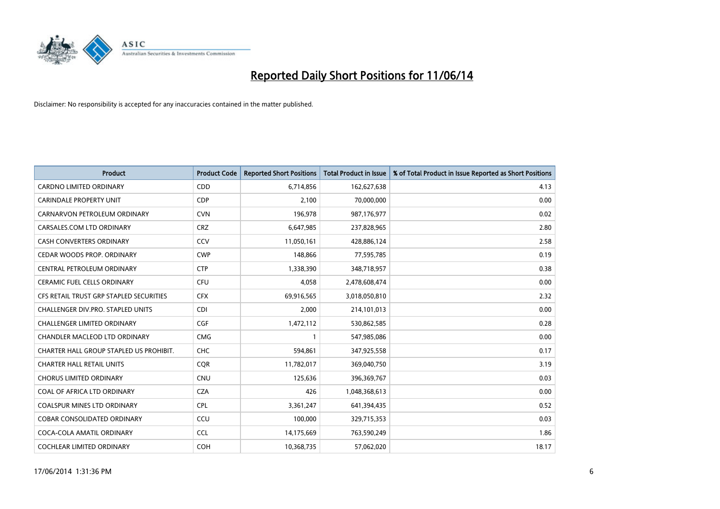

| <b>Product</b>                          | <b>Product Code</b> | <b>Reported Short Positions</b> | <b>Total Product in Issue</b> | % of Total Product in Issue Reported as Short Positions |
|-----------------------------------------|---------------------|---------------------------------|-------------------------------|---------------------------------------------------------|
| <b>CARDNO LIMITED ORDINARY</b>          | <b>CDD</b>          | 6,714,856                       | 162,627,638                   | 4.13                                                    |
| <b>CARINDALE PROPERTY UNIT</b>          | <b>CDP</b>          | 2,100                           | 70,000,000                    | 0.00                                                    |
| CARNARVON PETROLEUM ORDINARY            | <b>CVN</b>          | 196,978                         | 987,176,977                   | 0.02                                                    |
| CARSALES.COM LTD ORDINARY               | <b>CRZ</b>          | 6,647,985                       | 237,828,965                   | 2.80                                                    |
| <b>CASH CONVERTERS ORDINARY</b>         | CCV                 | 11,050,161                      | 428,886,124                   | 2.58                                                    |
| CEDAR WOODS PROP. ORDINARY              | <b>CWP</b>          | 148,866                         | 77,595,785                    | 0.19                                                    |
| CENTRAL PETROLEUM ORDINARY              | <b>CTP</b>          | 1,338,390                       | 348,718,957                   | 0.38                                                    |
| CERAMIC FUEL CELLS ORDINARY             | <b>CFU</b>          | 4,058                           | 2,478,608,474                 | 0.00                                                    |
| CFS RETAIL TRUST GRP STAPLED SECURITIES | <b>CFX</b>          | 69,916,565                      | 3,018,050,810                 | 2.32                                                    |
| CHALLENGER DIV.PRO. STAPLED UNITS       | <b>CDI</b>          | 2,000                           | 214,101,013                   | 0.00                                                    |
| <b>CHALLENGER LIMITED ORDINARY</b>      | <b>CGF</b>          | 1,472,112                       | 530,862,585                   | 0.28                                                    |
| CHANDLER MACLEOD LTD ORDINARY           | <b>CMG</b>          | $\overline{1}$                  | 547,985,086                   | 0.00                                                    |
| CHARTER HALL GROUP STAPLED US PROHIBIT. | <b>CHC</b>          | 594,861                         | 347,925,558                   | 0.17                                                    |
| <b>CHARTER HALL RETAIL UNITS</b>        | <b>CQR</b>          | 11,782,017                      | 369,040,750                   | 3.19                                                    |
| <b>CHORUS LIMITED ORDINARY</b>          | <b>CNU</b>          | 125,636                         | 396,369,767                   | 0.03                                                    |
| COAL OF AFRICA LTD ORDINARY             | <b>CZA</b>          | 426                             | 1,048,368,613                 | 0.00                                                    |
| COALSPUR MINES LTD ORDINARY             | <b>CPL</b>          | 3,361,247                       | 641,394,435                   | 0.52                                                    |
| <b>COBAR CONSOLIDATED ORDINARY</b>      | CCU                 | 100,000                         | 329,715,353                   | 0.03                                                    |
| COCA-COLA AMATIL ORDINARY               | <b>CCL</b>          | 14,175,669                      | 763,590,249                   | 1.86                                                    |
| <b>COCHLEAR LIMITED ORDINARY</b>        | <b>COH</b>          | 10,368,735                      | 57,062,020                    | 18.17                                                   |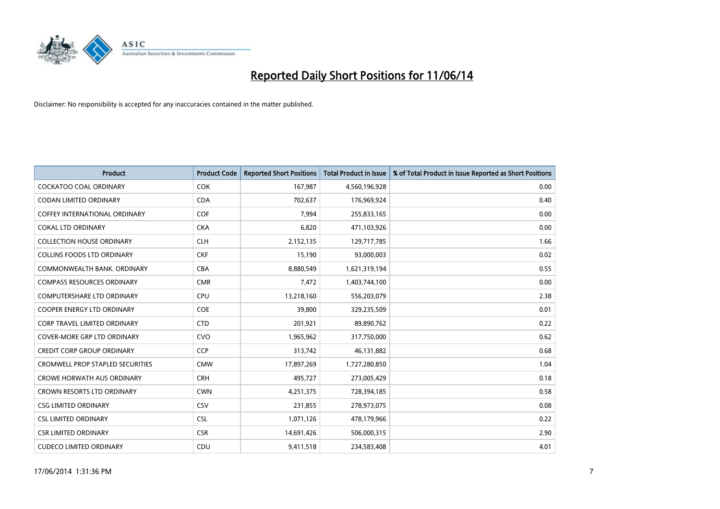

| <b>Product</b>                          | <b>Product Code</b> | <b>Reported Short Positions</b> | <b>Total Product in Issue</b> | % of Total Product in Issue Reported as Short Positions |
|-----------------------------------------|---------------------|---------------------------------|-------------------------------|---------------------------------------------------------|
| <b>COCKATOO COAL ORDINARY</b>           | <b>COK</b>          | 167,987                         | 4,560,196,928                 | 0.00                                                    |
| <b>CODAN LIMITED ORDINARY</b>           | <b>CDA</b>          | 702,637                         | 176,969,924                   | 0.40                                                    |
| <b>COFFEY INTERNATIONAL ORDINARY</b>    | <b>COF</b>          | 7,994                           | 255,833,165                   | 0.00                                                    |
| <b>COKAL LTD ORDINARY</b>               | <b>CKA</b>          | 6,820                           | 471,103,926                   | 0.00                                                    |
| <b>COLLECTION HOUSE ORDINARY</b>        | <b>CLH</b>          | 2,152,135                       | 129,717,785                   | 1.66                                                    |
| <b>COLLINS FOODS LTD ORDINARY</b>       | <b>CKF</b>          | 15,190                          | 93,000,003                    | 0.02                                                    |
| COMMONWEALTH BANK, ORDINARY             | <b>CBA</b>          | 8,880,549                       | 1,621,319,194                 | 0.55                                                    |
| <b>COMPASS RESOURCES ORDINARY</b>       | <b>CMR</b>          | 7,472                           | 1,403,744,100                 | 0.00                                                    |
| <b>COMPUTERSHARE LTD ORDINARY</b>       | <b>CPU</b>          | 13,218,160                      | 556,203,079                   | 2.38                                                    |
| <b>COOPER ENERGY LTD ORDINARY</b>       | COE                 | 39,800                          | 329,235,509                   | 0.01                                                    |
| CORP TRAVEL LIMITED ORDINARY            | <b>CTD</b>          | 201,921                         | 89,890,762                    | 0.22                                                    |
| <b>COVER-MORE GRP LTD ORDINARY</b>      | <b>CVO</b>          | 1,965,962                       | 317,750,000                   | 0.62                                                    |
| <b>CREDIT CORP GROUP ORDINARY</b>       | <b>CCP</b>          | 313,742                         | 46,131,882                    | 0.68                                                    |
| <b>CROMWELL PROP STAPLED SECURITIES</b> | <b>CMW</b>          | 17,897,269                      | 1,727,280,850                 | 1.04                                                    |
| <b>CROWE HORWATH AUS ORDINARY</b>       | <b>CRH</b>          | 495,727                         | 273,005,429                   | 0.18                                                    |
| <b>CROWN RESORTS LTD ORDINARY</b>       | <b>CWN</b>          | 4,251,375                       | 728,394,185                   | 0.58                                                    |
| <b>CSG LIMITED ORDINARY</b>             | CSV                 | 231,855                         | 278,973,075                   | 0.08                                                    |
| <b>CSL LIMITED ORDINARY</b>             | <b>CSL</b>          | 1,071,126                       | 478,179,966                   | 0.22                                                    |
| <b>CSR LIMITED ORDINARY</b>             | <b>CSR</b>          | 14,691,426                      | 506,000,315                   | 2.90                                                    |
| <b>CUDECO LIMITED ORDINARY</b>          | CDU                 | 9,411,518                       | 234,583,408                   | 4.01                                                    |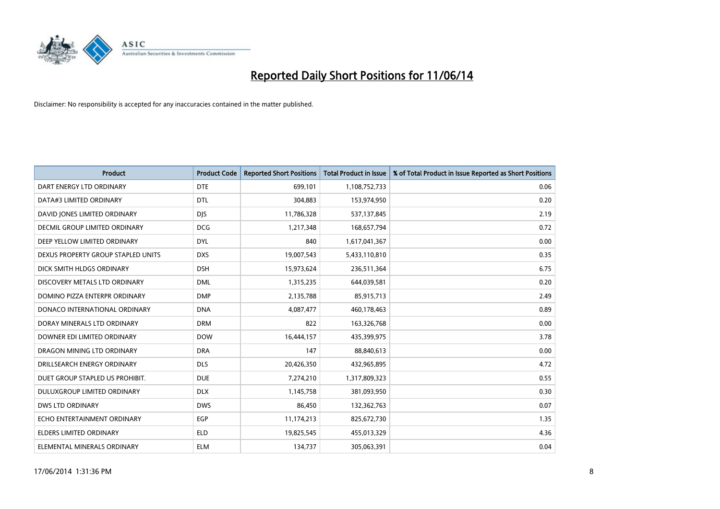

| <b>Product</b>                       | <b>Product Code</b> | <b>Reported Short Positions</b> | <b>Total Product in Issue</b> | % of Total Product in Issue Reported as Short Positions |
|--------------------------------------|---------------------|---------------------------------|-------------------------------|---------------------------------------------------------|
| DART ENERGY LTD ORDINARY             | <b>DTE</b>          | 699,101                         | 1,108,752,733                 | 0.06                                                    |
| DATA#3 LIMITED ORDINARY              | <b>DTL</b>          | 304,883                         | 153,974,950                   | 0.20                                                    |
| DAVID JONES LIMITED ORDINARY         | <b>DJS</b>          | 11,786,328                      | 537,137,845                   | 2.19                                                    |
| <b>DECMIL GROUP LIMITED ORDINARY</b> | <b>DCG</b>          | 1,217,348                       | 168,657,794                   | 0.72                                                    |
| DEEP YELLOW LIMITED ORDINARY         | <b>DYL</b>          | 840                             | 1,617,041,367                 | 0.00                                                    |
| DEXUS PROPERTY GROUP STAPLED UNITS   | <b>DXS</b>          | 19,007,543                      | 5,433,110,810                 | 0.35                                                    |
| DICK SMITH HLDGS ORDINARY            | <b>DSH</b>          | 15,973,624                      | 236,511,364                   | 6.75                                                    |
| DISCOVERY METALS LTD ORDINARY        | <b>DML</b>          | 1,315,235                       | 644,039,581                   | 0.20                                                    |
| DOMINO PIZZA ENTERPR ORDINARY        | <b>DMP</b>          | 2,135,788                       | 85,915,713                    | 2.49                                                    |
| DONACO INTERNATIONAL ORDINARY        | <b>DNA</b>          | 4,087,477                       | 460,178,463                   | 0.89                                                    |
| DORAY MINERALS LTD ORDINARY          | <b>DRM</b>          | 822                             | 163,326,768                   | 0.00                                                    |
| DOWNER EDI LIMITED ORDINARY          | <b>DOW</b>          | 16,444,157                      | 435,399,975                   | 3.78                                                    |
| DRAGON MINING LTD ORDINARY           | <b>DRA</b>          | 147                             | 88,840,613                    | 0.00                                                    |
| DRILLSEARCH ENERGY ORDINARY          | <b>DLS</b>          | 20,426,350                      | 432,965,895                   | 4.72                                                    |
| DUET GROUP STAPLED US PROHIBIT.      | <b>DUE</b>          | 7,274,210                       | 1,317,809,323                 | 0.55                                                    |
| <b>DULUXGROUP LIMITED ORDINARY</b>   | <b>DLX</b>          | 1,145,758                       | 381,093,950                   | 0.30                                                    |
| <b>DWS LTD ORDINARY</b>              | <b>DWS</b>          | 86,450                          | 132,362,763                   | 0.07                                                    |
| ECHO ENTERTAINMENT ORDINARY          | <b>EGP</b>          | 11,174,213                      | 825,672,730                   | 1.35                                                    |
| <b>ELDERS LIMITED ORDINARY</b>       | <b>ELD</b>          | 19,825,545                      | 455,013,329                   | 4.36                                                    |
| ELEMENTAL MINERALS ORDINARY          | <b>ELM</b>          | 134,737                         | 305,063,391                   | 0.04                                                    |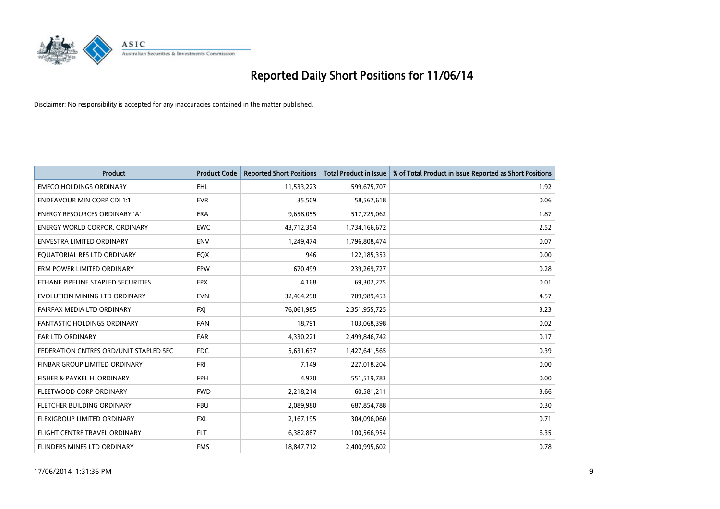

| <b>Product</b>                         | <b>Product Code</b> | <b>Reported Short Positions</b> | <b>Total Product in Issue</b> | % of Total Product in Issue Reported as Short Positions |
|----------------------------------------|---------------------|---------------------------------|-------------------------------|---------------------------------------------------------|
| <b>EMECO HOLDINGS ORDINARY</b>         | EHL                 | 11,533,223                      | 599,675,707                   | 1.92                                                    |
| <b>ENDEAVOUR MIN CORP CDI 1:1</b>      | <b>EVR</b>          | 35,509                          | 58,567,618                    | 0.06                                                    |
| <b>ENERGY RESOURCES ORDINARY 'A'</b>   | <b>ERA</b>          | 9,658,055                       | 517,725,062                   | 1.87                                                    |
| <b>ENERGY WORLD CORPOR, ORDINARY</b>   | <b>EWC</b>          | 43,712,354                      | 1,734,166,672                 | 2.52                                                    |
| <b>ENVESTRA LIMITED ORDINARY</b>       | <b>ENV</b>          | 1,249,474                       | 1,796,808,474                 | 0.07                                                    |
| EQUATORIAL RES LTD ORDINARY            | EQX                 | 946                             | 122,185,353                   | 0.00                                                    |
| ERM POWER LIMITED ORDINARY             | <b>EPW</b>          | 670,499                         | 239,269,727                   | 0.28                                                    |
| ETHANE PIPELINE STAPLED SECURITIES     | <b>EPX</b>          | 4,168                           | 69,302,275                    | 0.01                                                    |
| EVOLUTION MINING LTD ORDINARY          | <b>EVN</b>          | 32,464,298                      | 709,989,453                   | 4.57                                                    |
| FAIRFAX MEDIA LTD ORDINARY             | <b>FXI</b>          | 76,061,985                      | 2,351,955,725                 | 3.23                                                    |
| FANTASTIC HOLDINGS ORDINARY            | <b>FAN</b>          | 18,791                          | 103,068,398                   | 0.02                                                    |
| <b>FAR LTD ORDINARY</b>                | <b>FAR</b>          | 4,330,221                       | 2,499,846,742                 | 0.17                                                    |
| FEDERATION CNTRES ORD/UNIT STAPLED SEC | <b>FDC</b>          | 5,631,637                       | 1,427,641,565                 | 0.39                                                    |
| FINBAR GROUP LIMITED ORDINARY          | <b>FRI</b>          | 7,149                           | 227,018,204                   | 0.00                                                    |
| FISHER & PAYKEL H. ORDINARY            | <b>FPH</b>          | 4,970                           | 551,519,783                   | 0.00                                                    |
| FLEETWOOD CORP ORDINARY                | <b>FWD</b>          | 2,218,214                       | 60,581,211                    | 3.66                                                    |
| FLETCHER BUILDING ORDINARY             | <b>FBU</b>          | 2,089,980                       | 687,854,788                   | 0.30                                                    |
| FLEXIGROUP LIMITED ORDINARY            | <b>FXL</b>          | 2,167,195                       | 304,096,060                   | 0.71                                                    |
| FLIGHT CENTRE TRAVEL ORDINARY          | <b>FLT</b>          | 6,382,887                       | 100,566,954                   | 6.35                                                    |
| FLINDERS MINES LTD ORDINARY            | <b>FMS</b>          | 18,847,712                      | 2,400,995,602                 | 0.78                                                    |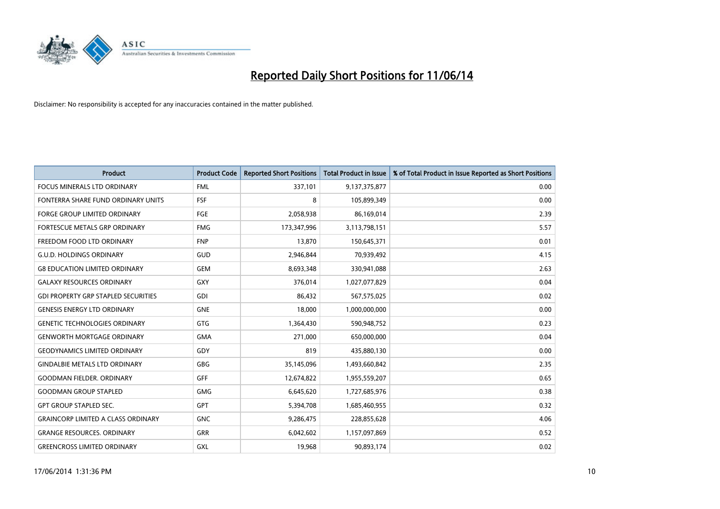

| Product                                    | <b>Product Code</b> | <b>Reported Short Positions</b> | Total Product in Issue | % of Total Product in Issue Reported as Short Positions |
|--------------------------------------------|---------------------|---------------------------------|------------------------|---------------------------------------------------------|
| <b>FOCUS MINERALS LTD ORDINARY</b>         | <b>FML</b>          | 337,101                         | 9,137,375,877          | 0.00                                                    |
| FONTERRA SHARE FUND ORDINARY UNITS         | <b>FSF</b>          | 8                               | 105,899,349            | 0.00                                                    |
| <b>FORGE GROUP LIMITED ORDINARY</b>        | <b>FGE</b>          | 2,058,938                       | 86,169,014             | 2.39                                                    |
| FORTESCUE METALS GRP ORDINARY              | <b>FMG</b>          | 173,347,996                     | 3,113,798,151          | 5.57                                                    |
| FREEDOM FOOD LTD ORDINARY                  | <b>FNP</b>          | 13,870                          | 150,645,371            | 0.01                                                    |
| <b>G.U.D. HOLDINGS ORDINARY</b>            | <b>GUD</b>          | 2,946,844                       | 70,939,492             | 4.15                                                    |
| <b>G8 EDUCATION LIMITED ORDINARY</b>       | GEM                 | 8,693,348                       | 330,941,088            | 2.63                                                    |
| <b>GALAXY RESOURCES ORDINARY</b>           | GXY                 | 376,014                         | 1,027,077,829          | 0.04                                                    |
| <b>GDI PROPERTY GRP STAPLED SECURITIES</b> | GDI                 | 86,432                          | 567,575,025            | 0.02                                                    |
| <b>GENESIS ENERGY LTD ORDINARY</b>         | <b>GNE</b>          | 18,000                          | 1,000,000,000          | 0.00                                                    |
| <b>GENETIC TECHNOLOGIES ORDINARY</b>       | <b>GTG</b>          | 1,364,430                       | 590,948,752            | 0.23                                                    |
| <b>GENWORTH MORTGAGE ORDINARY</b>          | <b>GMA</b>          | 271,000                         | 650,000,000            | 0.04                                                    |
| <b>GEODYNAMICS LIMITED ORDINARY</b>        | GDY                 | 819                             | 435,880,130            | 0.00                                                    |
| <b>GINDALBIE METALS LTD ORDINARY</b>       | <b>GBG</b>          | 35,145,096                      | 1,493,660,842          | 2.35                                                    |
| <b>GOODMAN FIELDER. ORDINARY</b>           | <b>GFF</b>          | 12,674,822                      | 1,955,559,207          | 0.65                                                    |
| <b>GOODMAN GROUP STAPLED</b>               | <b>GMG</b>          | 6,645,620                       | 1,727,685,976          | 0.38                                                    |
| <b>GPT GROUP STAPLED SEC.</b>              | GPT                 | 5,394,708                       | 1,685,460,955          | 0.32                                                    |
| <b>GRAINCORP LIMITED A CLASS ORDINARY</b>  | <b>GNC</b>          | 9,286,475                       | 228,855,628            | 4.06                                                    |
| <b>GRANGE RESOURCES, ORDINARY</b>          | <b>GRR</b>          | 6,042,602                       | 1,157,097,869          | 0.52                                                    |
| <b>GREENCROSS LIMITED ORDINARY</b>         | GXL                 | 19,968                          | 90,893,174             | 0.02                                                    |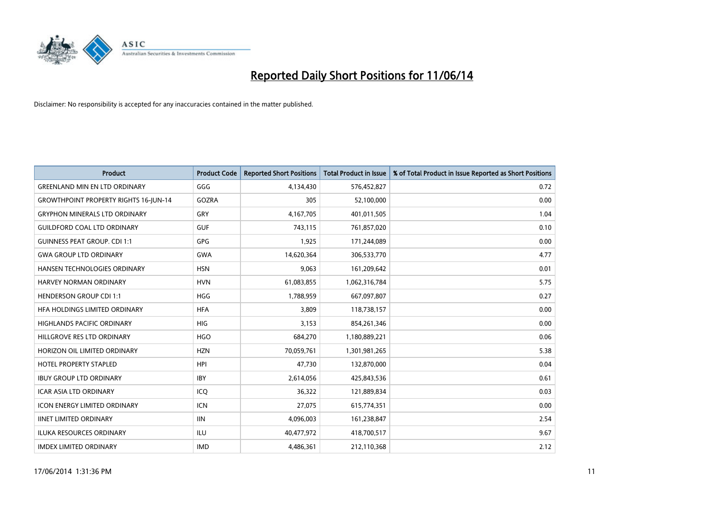

| <b>Product</b>                               | <b>Product Code</b> | <b>Reported Short Positions</b> | Total Product in Issue | % of Total Product in Issue Reported as Short Positions |
|----------------------------------------------|---------------------|---------------------------------|------------------------|---------------------------------------------------------|
| <b>GREENLAND MIN EN LTD ORDINARY</b>         | GGG                 | 4,134,430                       | 576,452,827            | 0.72                                                    |
| <b>GROWTHPOINT PROPERTY RIGHTS 16-JUN-14</b> | GOZRA               | 305                             | 52,100,000             | 0.00                                                    |
| <b>GRYPHON MINERALS LTD ORDINARY</b>         | GRY                 | 4,167,705                       | 401,011,505            | 1.04                                                    |
| <b>GUILDFORD COAL LTD ORDINARY</b>           | <b>GUF</b>          | 743,115                         | 761,857,020            | 0.10                                                    |
| <b>GUINNESS PEAT GROUP. CDI 1:1</b>          | GPG                 | 1,925                           | 171,244,089            | 0.00                                                    |
| <b>GWA GROUP LTD ORDINARY</b>                | <b>GWA</b>          | 14,620,364                      | 306,533,770            | 4.77                                                    |
| <b>HANSEN TECHNOLOGIES ORDINARY</b>          | <b>HSN</b>          | 9,063                           | 161,209,642            | 0.01                                                    |
| <b>HARVEY NORMAN ORDINARY</b>                | <b>HVN</b>          | 61,083,855                      | 1,062,316,784          | 5.75                                                    |
| <b>HENDERSON GROUP CDI 1:1</b>               | <b>HGG</b>          | 1,788,959                       | 667,097,807            | 0.27                                                    |
| HFA HOLDINGS LIMITED ORDINARY                | <b>HFA</b>          | 3,809                           | 118,738,157            | 0.00                                                    |
| HIGHLANDS PACIFIC ORDINARY                   | HIG                 | 3,153                           | 854,261,346            | 0.00                                                    |
| HILLGROVE RES LTD ORDINARY                   | <b>HGO</b>          | 684,270                         | 1,180,889,221          | 0.06                                                    |
| HORIZON OIL LIMITED ORDINARY                 | <b>HZN</b>          | 70,059,761                      | 1,301,981,265          | 5.38                                                    |
| <b>HOTEL PROPERTY STAPLED</b>                | <b>HPI</b>          | 47,730                          | 132,870,000            | 0.04                                                    |
| <b>IBUY GROUP LTD ORDINARY</b>               | <b>IBY</b>          | 2,614,056                       | 425,843,536            | 0.61                                                    |
| <b>ICAR ASIA LTD ORDINARY</b>                | ICO                 | 36,322                          | 121,889,834            | 0.03                                                    |
| <b>ICON ENERGY LIMITED ORDINARY</b>          | ICN                 | 27,075                          | 615,774,351            | 0.00                                                    |
| <b>IINET LIMITED ORDINARY</b>                | <b>IIN</b>          | 4,096,003                       | 161,238,847            | 2.54                                                    |
| <b>ILUKA RESOURCES ORDINARY</b>              | <b>ILU</b>          | 40,477,972                      | 418,700,517            | 9.67                                                    |
| <b>IMDEX LIMITED ORDINARY</b>                | <b>IMD</b>          | 4,486,361                       | 212,110,368            | 2.12                                                    |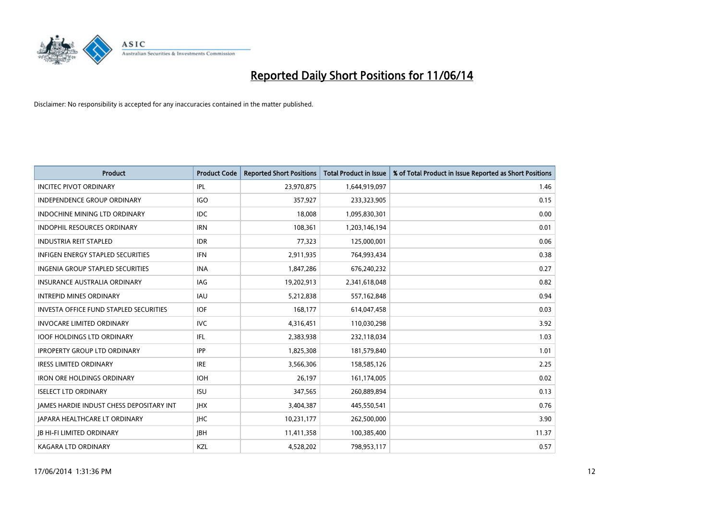

| <b>Product</b>                                | <b>Product Code</b> | <b>Reported Short Positions</b> | <b>Total Product in Issue</b> | % of Total Product in Issue Reported as Short Positions |
|-----------------------------------------------|---------------------|---------------------------------|-------------------------------|---------------------------------------------------------|
| <b>INCITEC PIVOT ORDINARY</b>                 | IPL                 | 23,970,875                      | 1,644,919,097                 | 1.46                                                    |
| INDEPENDENCE GROUP ORDINARY                   | <b>IGO</b>          | 357,927                         | 233,323,905                   | 0.15                                                    |
| <b>INDOCHINE MINING LTD ORDINARY</b>          | <b>IDC</b>          | 18,008                          | 1,095,830,301                 | 0.00                                                    |
| <b>INDOPHIL RESOURCES ORDINARY</b>            | <b>IRN</b>          | 108,361                         | 1,203,146,194                 | 0.01                                                    |
| <b>INDUSTRIA REIT STAPLED</b>                 | <b>IDR</b>          | 77,323                          | 125,000,001                   | 0.06                                                    |
| <b>INFIGEN ENERGY STAPLED SECURITIES</b>      | <b>IFN</b>          | 2,911,935                       | 764,993,434                   | 0.38                                                    |
| INGENIA GROUP STAPLED SECURITIES              | <b>INA</b>          | 1,847,286                       | 676,240,232                   | 0.27                                                    |
| <b>INSURANCE AUSTRALIA ORDINARY</b>           | IAG                 | 19,202,913                      | 2,341,618,048                 | 0.82                                                    |
| <b>INTREPID MINES ORDINARY</b>                | <b>IAU</b>          | 5,212,838                       | 557,162,848                   | 0.94                                                    |
| <b>INVESTA OFFICE FUND STAPLED SECURITIES</b> | <b>IOF</b>          | 168,177                         | 614,047,458                   | 0.03                                                    |
| <b>INVOCARE LIMITED ORDINARY</b>              | IVC                 | 4,316,451                       | 110,030,298                   | 3.92                                                    |
| <b>IOOF HOLDINGS LTD ORDINARY</b>             | IFL                 | 2,383,938                       | 232,118,034                   | 1.03                                                    |
| <b>IPROPERTY GROUP LTD ORDINARY</b>           | <b>IPP</b>          | 1,825,308                       | 181,579,840                   | 1.01                                                    |
| <b>IRESS LIMITED ORDINARY</b>                 | <b>IRE</b>          | 3,566,306                       | 158,585,126                   | 2.25                                                    |
| <b>IRON ORE HOLDINGS ORDINARY</b>             | <b>IOH</b>          | 26,197                          | 161,174,005                   | 0.02                                                    |
| <b>ISELECT LTD ORDINARY</b>                   | <b>ISU</b>          | 347,565                         | 260,889,894                   | 0.13                                                    |
| JAMES HARDIE INDUST CHESS DEPOSITARY INT      | <b>JHX</b>          | 3,404,387                       | 445,550,541                   | 0.76                                                    |
| JAPARA HEALTHCARE LT ORDINARY                 | <b>JHC</b>          | 10,231,177                      | 262,500,000                   | 3.90                                                    |
| <b>JB HI-FI LIMITED ORDINARY</b>              | JBH                 | 11,411,358                      | 100,385,400                   | 11.37                                                   |
| <b>KAGARA LTD ORDINARY</b>                    | <b>KZL</b>          | 4,528,202                       | 798,953,117                   | 0.57                                                    |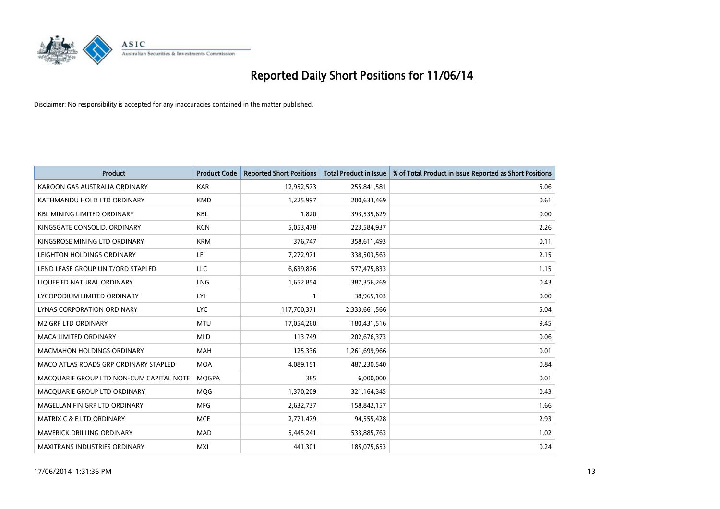

| <b>Product</b>                           | <b>Product Code</b> | <b>Reported Short Positions</b> | <b>Total Product in Issue</b> | % of Total Product in Issue Reported as Short Positions |
|------------------------------------------|---------------------|---------------------------------|-------------------------------|---------------------------------------------------------|
| KAROON GAS AUSTRALIA ORDINARY            | <b>KAR</b>          | 12,952,573                      | 255,841,581                   | 5.06                                                    |
| KATHMANDU HOLD LTD ORDINARY              | <b>KMD</b>          | 1,225,997                       | 200,633,469                   | 0.61                                                    |
| <b>KBL MINING LIMITED ORDINARY</b>       | <b>KBL</b>          | 1,820                           | 393,535,629                   | 0.00                                                    |
| KINGSGATE CONSOLID. ORDINARY             | <b>KCN</b>          | 5,053,478                       | 223,584,937                   | 2.26                                                    |
| KINGSROSE MINING LTD ORDINARY            | <b>KRM</b>          | 376,747                         | 358,611,493                   | 0.11                                                    |
| LEIGHTON HOLDINGS ORDINARY               | LEI                 | 7,272,971                       | 338,503,563                   | 2.15                                                    |
| LEND LEASE GROUP UNIT/ORD STAPLED        | <b>LLC</b>          | 6,639,876                       | 577,475,833                   | 1.15                                                    |
| LIQUEFIED NATURAL ORDINARY               | <b>LNG</b>          | 1,652,854                       | 387,356,269                   | 0.43                                                    |
| LYCOPODIUM LIMITED ORDINARY              | LYL                 |                                 | 38,965,103                    | 0.00                                                    |
| LYNAS CORPORATION ORDINARY               | <b>LYC</b>          | 117,700,371                     | 2,333,661,566                 | 5.04                                                    |
| M2 GRP LTD ORDINARY                      | <b>MTU</b>          | 17,054,260                      | 180,431,516                   | 9.45                                                    |
| <b>MACA LIMITED ORDINARY</b>             | <b>MLD</b>          | 113,749                         | 202,676,373                   | 0.06                                                    |
| <b>MACMAHON HOLDINGS ORDINARY</b>        | <b>MAH</b>          | 125,336                         | 1,261,699,966                 | 0.01                                                    |
| MACO ATLAS ROADS GRP ORDINARY STAPLED    | <b>MQA</b>          | 4,089,151                       | 487,230,540                   | 0.84                                                    |
| MACQUARIE GROUP LTD NON-CUM CAPITAL NOTE | <b>MQGPA</b>        | 385                             | 6,000,000                     | 0.01                                                    |
| MACQUARIE GROUP LTD ORDINARY             | <b>MOG</b>          | 1,370,209                       | 321,164,345                   | 0.43                                                    |
| MAGELLAN FIN GRP LTD ORDINARY            | <b>MFG</b>          | 2,632,737                       | 158,842,157                   | 1.66                                                    |
| <b>MATRIX C &amp; E LTD ORDINARY</b>     | <b>MCE</b>          | 2,771,479                       | 94,555,428                    | 2.93                                                    |
| MAVERICK DRILLING ORDINARY               | <b>MAD</b>          | 5,445,241                       | 533,885,763                   | 1.02                                                    |
| <b>MAXITRANS INDUSTRIES ORDINARY</b>     | <b>MXI</b>          | 441,301                         | 185,075,653                   | 0.24                                                    |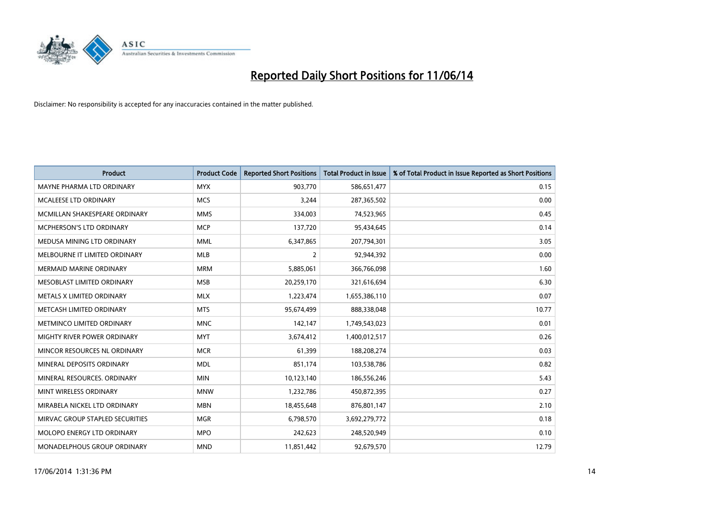

| <b>Product</b>                  | <b>Product Code</b> | <b>Reported Short Positions</b> | <b>Total Product in Issue</b> | % of Total Product in Issue Reported as Short Positions |
|---------------------------------|---------------------|---------------------------------|-------------------------------|---------------------------------------------------------|
| MAYNE PHARMA LTD ORDINARY       | <b>MYX</b>          | 903,770                         | 586,651,477                   | 0.15                                                    |
| MCALEESE LTD ORDINARY           | <b>MCS</b>          | 3,244                           | 287,365,502                   | 0.00                                                    |
| MCMILLAN SHAKESPEARE ORDINARY   | <b>MMS</b>          | 334,003                         | 74,523,965                    | 0.45                                                    |
| MCPHERSON'S LTD ORDINARY        | <b>MCP</b>          | 137,720                         | 95,434,645                    | 0.14                                                    |
| MEDUSA MINING LTD ORDINARY      | <b>MML</b>          | 6,347,865                       | 207,794,301                   | 3.05                                                    |
| MELBOURNE IT LIMITED ORDINARY   | <b>MLB</b>          | 2                               | 92,944,392                    | 0.00                                                    |
| <b>MERMAID MARINE ORDINARY</b>  | <b>MRM</b>          | 5,885,061                       | 366,766,098                   | 1.60                                                    |
| MESOBLAST LIMITED ORDINARY      | <b>MSB</b>          | 20,259,170                      | 321,616,694                   | 6.30                                                    |
| METALS X LIMITED ORDINARY       | <b>MLX</b>          | 1.223.474                       | 1,655,386,110                 | 0.07                                                    |
| METCASH LIMITED ORDINARY        | <b>MTS</b>          | 95,674,499                      | 888,338,048                   | 10.77                                                   |
| METMINCO LIMITED ORDINARY       | <b>MNC</b>          | 142,147                         | 1,749,543,023                 | 0.01                                                    |
| MIGHTY RIVER POWER ORDINARY     | <b>MYT</b>          | 3,674,412                       | 1,400,012,517                 | 0.26                                                    |
| MINCOR RESOURCES NL ORDINARY    | <b>MCR</b>          | 61,399                          | 188,208,274                   | 0.03                                                    |
| MINERAL DEPOSITS ORDINARY       | <b>MDL</b>          | 851,174                         | 103,538,786                   | 0.82                                                    |
| MINERAL RESOURCES, ORDINARY     | <b>MIN</b>          | 10,123,140                      | 186,556,246                   | 5.43                                                    |
| MINT WIRELESS ORDINARY          | <b>MNW</b>          | 1,232,786                       | 450,872,395                   | 0.27                                                    |
| MIRABELA NICKEL LTD ORDINARY    | <b>MBN</b>          | 18,455,648                      | 876,801,147                   | 2.10                                                    |
| MIRVAC GROUP STAPLED SECURITIES | <b>MGR</b>          | 6,798,570                       | 3,692,279,772                 | 0.18                                                    |
| MOLOPO ENERGY LTD ORDINARY      | <b>MPO</b>          | 242,623                         | 248,520,949                   | 0.10                                                    |
| MONADELPHOUS GROUP ORDINARY     | <b>MND</b>          | 11,851,442                      | 92,679,570                    | 12.79                                                   |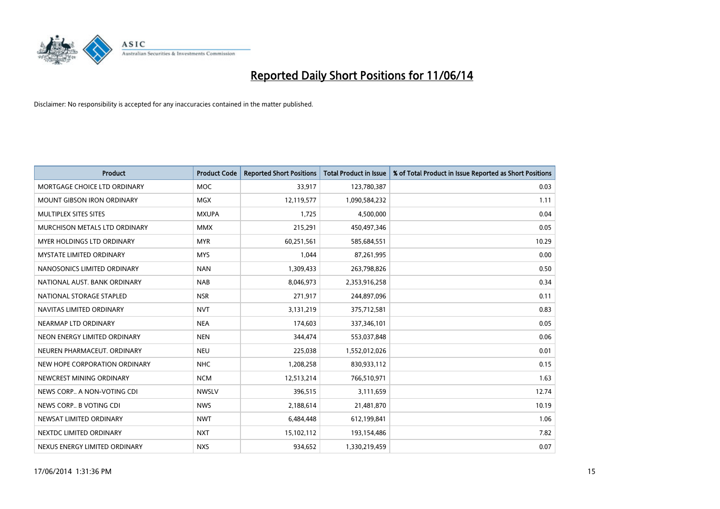

| <b>Product</b>                    | <b>Product Code</b> | <b>Reported Short Positions</b> | Total Product in Issue | % of Total Product in Issue Reported as Short Positions |
|-----------------------------------|---------------------|---------------------------------|------------------------|---------------------------------------------------------|
| MORTGAGE CHOICE LTD ORDINARY      | <b>MOC</b>          | 33,917                          | 123,780,387            | 0.03                                                    |
| MOUNT GIBSON IRON ORDINARY        | <b>MGX</b>          | 12,119,577                      | 1,090,584,232          | 1.11                                                    |
| MULTIPLEX SITES SITES             | <b>MXUPA</b>        | 1,725                           | 4,500,000              | 0.04                                                    |
| MURCHISON METALS LTD ORDINARY     | <b>MMX</b>          | 215,291                         | 450,497,346            | 0.05                                                    |
| <b>MYER HOLDINGS LTD ORDINARY</b> | <b>MYR</b>          | 60,251,561                      | 585,684,551            | 10.29                                                   |
| <b>MYSTATE LIMITED ORDINARY</b>   | <b>MYS</b>          | 1,044                           | 87,261,995             | 0.00                                                    |
| NANOSONICS LIMITED ORDINARY       | <b>NAN</b>          | 1,309,433                       | 263,798,826            | 0.50                                                    |
| NATIONAL AUST, BANK ORDINARY      | <b>NAB</b>          | 8,046,973                       | 2,353,916,258          | 0.34                                                    |
| NATIONAL STORAGE STAPLED          | <b>NSR</b>          | 271,917                         | 244,897,096            | 0.11                                                    |
| NAVITAS LIMITED ORDINARY          | <b>NVT</b>          | 3,131,219                       | 375,712,581            | 0.83                                                    |
| NEARMAP LTD ORDINARY              | <b>NEA</b>          | 174,603                         | 337,346,101            | 0.05                                                    |
| NEON ENERGY LIMITED ORDINARY      | <b>NEN</b>          | 344,474                         | 553,037,848            | 0.06                                                    |
| NEUREN PHARMACEUT. ORDINARY       | <b>NEU</b>          | 225,038                         | 1,552,012,026          | 0.01                                                    |
| NEW HOPE CORPORATION ORDINARY     | <b>NHC</b>          | 1,208,258                       | 830,933,112            | 0.15                                                    |
| NEWCREST MINING ORDINARY          | <b>NCM</b>          | 12,513,214                      | 766,510,971            | 1.63                                                    |
| NEWS CORP A NON-VOTING CDI        | <b>NWSLV</b>        | 396,515                         | 3,111,659              | 12.74                                                   |
| NEWS CORP B VOTING CDI            | <b>NWS</b>          | 2,188,614                       | 21,481,870             | 10.19                                                   |
| NEWSAT LIMITED ORDINARY           | <b>NWT</b>          | 6,484,448                       | 612,199,841            | 1.06                                                    |
| NEXTDC LIMITED ORDINARY           | <b>NXT</b>          | 15,102,112                      | 193,154,486            | 7.82                                                    |
| NEXUS ENERGY LIMITED ORDINARY     | <b>NXS</b>          | 934,652                         | 1,330,219,459          | 0.07                                                    |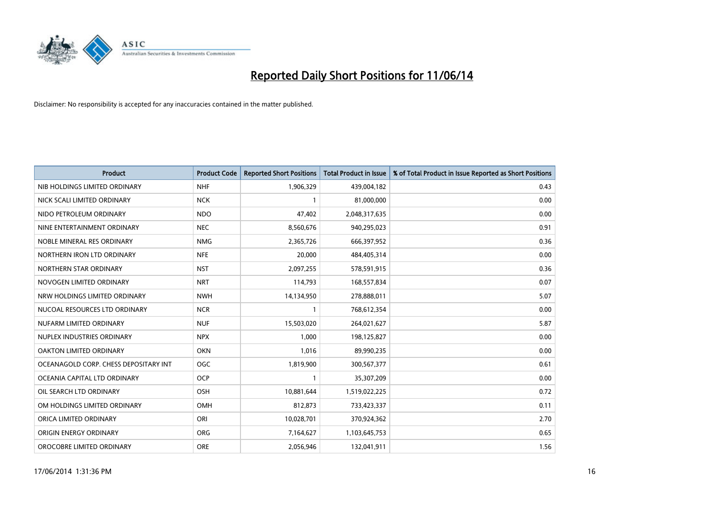

| <b>Product</b>                        | <b>Product Code</b> | <b>Reported Short Positions</b> | <b>Total Product in Issue</b> | % of Total Product in Issue Reported as Short Positions |
|---------------------------------------|---------------------|---------------------------------|-------------------------------|---------------------------------------------------------|
| NIB HOLDINGS LIMITED ORDINARY         | <b>NHF</b>          | 1,906,329                       | 439,004,182                   | 0.43                                                    |
| NICK SCALI LIMITED ORDINARY           | <b>NCK</b>          | $\mathbf{1}$                    | 81,000,000                    | 0.00                                                    |
| NIDO PETROLEUM ORDINARY               | <b>NDO</b>          | 47,402                          | 2,048,317,635                 | 0.00                                                    |
| NINE ENTERTAINMENT ORDINARY           | <b>NEC</b>          | 8,560,676                       | 940,295,023                   | 0.91                                                    |
| NOBLE MINERAL RES ORDINARY            | <b>NMG</b>          | 2,365,726                       | 666,397,952                   | 0.36                                                    |
| NORTHERN IRON LTD ORDINARY            | <b>NFE</b>          | 20,000                          | 484,405,314                   | 0.00                                                    |
| NORTHERN STAR ORDINARY                | <b>NST</b>          | 2,097,255                       | 578,591,915                   | 0.36                                                    |
| NOVOGEN LIMITED ORDINARY              | <b>NRT</b>          | 114,793                         | 168,557,834                   | 0.07                                                    |
| NRW HOLDINGS LIMITED ORDINARY         | <b>NWH</b>          | 14,134,950                      | 278,888,011                   | 5.07                                                    |
| NUCOAL RESOURCES LTD ORDINARY         | <b>NCR</b>          | $\mathbf{1}$                    | 768,612,354                   | 0.00                                                    |
| NUFARM LIMITED ORDINARY               | <b>NUF</b>          | 15,503,020                      | 264,021,627                   | 5.87                                                    |
| NUPLEX INDUSTRIES ORDINARY            | <b>NPX</b>          | 1,000                           | 198,125,827                   | 0.00                                                    |
| OAKTON LIMITED ORDINARY               | <b>OKN</b>          | 1,016                           | 89,990,235                    | 0.00                                                    |
| OCEANAGOLD CORP. CHESS DEPOSITARY INT | OGC                 | 1,819,900                       | 300,567,377                   | 0.61                                                    |
| OCEANIA CAPITAL LTD ORDINARY          | <b>OCP</b>          | $\mathbf{1}$                    | 35,307,209                    | 0.00                                                    |
| OIL SEARCH LTD ORDINARY               | OSH                 | 10,881,644                      | 1,519,022,225                 | 0.72                                                    |
| OM HOLDINGS LIMITED ORDINARY          | <b>OMH</b>          | 812,873                         | 733,423,337                   | 0.11                                                    |
| ORICA LIMITED ORDINARY                | ORI                 | 10,028,701                      | 370,924,362                   | 2.70                                                    |
| ORIGIN ENERGY ORDINARY                | <b>ORG</b>          | 7,164,627                       | 1,103,645,753                 | 0.65                                                    |
| OROCOBRE LIMITED ORDINARY             | <b>ORE</b>          | 2,056,946                       | 132,041,911                   | 1.56                                                    |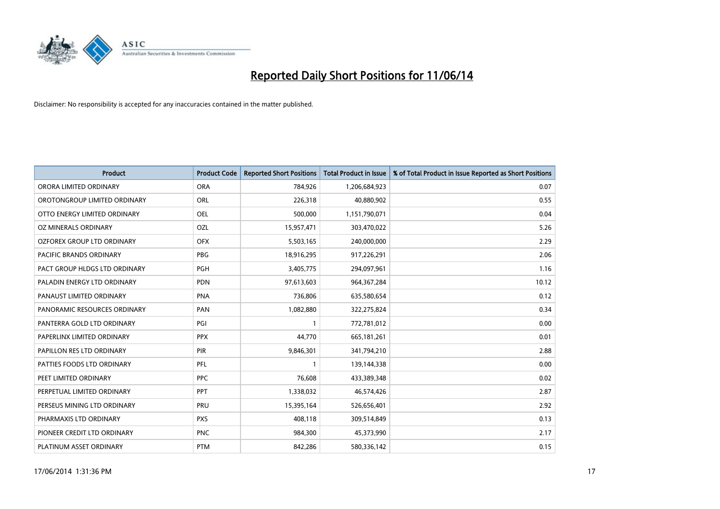

| <b>Product</b>                 | <b>Product Code</b> | <b>Reported Short Positions</b> | <b>Total Product in Issue</b> | % of Total Product in Issue Reported as Short Positions |
|--------------------------------|---------------------|---------------------------------|-------------------------------|---------------------------------------------------------|
| ORORA LIMITED ORDINARY         | <b>ORA</b>          | 784,926                         | 1,206,684,923                 | 0.07                                                    |
| OROTONGROUP LIMITED ORDINARY   | ORL                 | 226,318                         | 40,880,902                    | 0.55                                                    |
| OTTO ENERGY LIMITED ORDINARY   | OEL                 | 500,000                         | 1,151,790,071                 | 0.04                                                    |
| <b>OZ MINERALS ORDINARY</b>    | <b>OZL</b>          | 15,957,471                      | 303,470,022                   | 5.26                                                    |
| OZFOREX GROUP LTD ORDINARY     | <b>OFX</b>          | 5,503,165                       | 240,000,000                   | 2.29                                                    |
| <b>PACIFIC BRANDS ORDINARY</b> | <b>PBG</b>          | 18,916,295                      | 917,226,291                   | 2.06                                                    |
| PACT GROUP HLDGS LTD ORDINARY  | <b>PGH</b>          | 3,405,775                       | 294,097,961                   | 1.16                                                    |
| PALADIN ENERGY LTD ORDINARY    | <b>PDN</b>          | 97,613,603                      | 964, 367, 284                 | 10.12                                                   |
| PANAUST LIMITED ORDINARY       | <b>PNA</b>          | 736,806                         | 635,580,654                   | 0.12                                                    |
| PANORAMIC RESOURCES ORDINARY   | PAN                 | 1,082,880                       | 322,275,824                   | 0.34                                                    |
| PANTERRA GOLD LTD ORDINARY     | PGI                 | $\mathbf{1}$                    | 772,781,012                   | 0.00                                                    |
| PAPERLINX LIMITED ORDINARY     | <b>PPX</b>          | 44,770                          | 665,181,261                   | 0.01                                                    |
| PAPILLON RES LTD ORDINARY      | <b>PIR</b>          | 9,846,301                       | 341,794,210                   | 2.88                                                    |
| PATTIES FOODS LTD ORDINARY     | PFL                 | $\mathbf{1}$                    | 139,144,338                   | 0.00                                                    |
| PEET LIMITED ORDINARY          | <b>PPC</b>          | 76,608                          | 433,389,348                   | 0.02                                                    |
| PERPETUAL LIMITED ORDINARY     | PPT                 | 1,338,032                       | 46,574,426                    | 2.87                                                    |
| PERSEUS MINING LTD ORDINARY    | PRU                 | 15,395,164                      | 526,656,401                   | 2.92                                                    |
| PHARMAXIS LTD ORDINARY         | <b>PXS</b>          | 408,118                         | 309,514,849                   | 0.13                                                    |
| PIONEER CREDIT LTD ORDINARY    | <b>PNC</b>          | 984,300                         | 45,373,990                    | 2.17                                                    |
| PLATINUM ASSET ORDINARY        | <b>PTM</b>          | 842,286                         | 580,336,142                   | 0.15                                                    |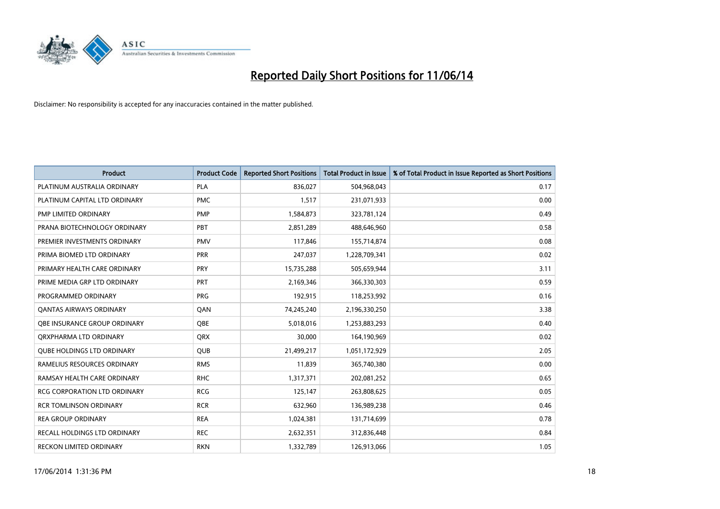

| <b>Product</b>                      | <b>Product Code</b> | <b>Reported Short Positions</b> | <b>Total Product in Issue</b> | % of Total Product in Issue Reported as Short Positions |
|-------------------------------------|---------------------|---------------------------------|-------------------------------|---------------------------------------------------------|
| PLATINUM AUSTRALIA ORDINARY         | <b>PLA</b>          | 836,027                         | 504,968,043                   | 0.17                                                    |
| PLATINUM CAPITAL LTD ORDINARY       | <b>PMC</b>          | 1,517                           | 231,071,933                   | 0.00                                                    |
| PMP LIMITED ORDINARY                | <b>PMP</b>          | 1,584,873                       | 323,781,124                   | 0.49                                                    |
| PRANA BIOTECHNOLOGY ORDINARY        | <b>PBT</b>          | 2,851,289                       | 488,646,960                   | 0.58                                                    |
| PREMIER INVESTMENTS ORDINARY        | <b>PMV</b>          | 117,846                         | 155,714,874                   | 0.08                                                    |
| PRIMA BIOMED LTD ORDINARY           | <b>PRR</b>          | 247,037                         | 1,228,709,341                 | 0.02                                                    |
| PRIMARY HEALTH CARE ORDINARY        | <b>PRY</b>          | 15,735,288                      | 505,659,944                   | 3.11                                                    |
| PRIME MEDIA GRP LTD ORDINARY        | <b>PRT</b>          | 2,169,346                       | 366,330,303                   | 0.59                                                    |
| PROGRAMMED ORDINARY                 | <b>PRG</b>          | 192,915                         | 118,253,992                   | 0.16                                                    |
| <b>QANTAS AIRWAYS ORDINARY</b>      | QAN                 | 74,245,240                      | 2,196,330,250                 | 3.38                                                    |
| <b>OBE INSURANCE GROUP ORDINARY</b> | OBE                 | 5,018,016                       | 1,253,883,293                 | 0.40                                                    |
| QRXPHARMA LTD ORDINARY              | QRX                 | 30,000                          | 164,190,969                   | 0.02                                                    |
| <b>QUBE HOLDINGS LTD ORDINARY</b>   | <b>QUB</b>          | 21,499,217                      | 1,051,172,929                 | 2.05                                                    |
| RAMELIUS RESOURCES ORDINARY         | <b>RMS</b>          | 11,839                          | 365,740,380                   | 0.00                                                    |
| RAMSAY HEALTH CARE ORDINARY         | <b>RHC</b>          | 1,317,371                       | 202,081,252                   | 0.65                                                    |
| RCG CORPORATION LTD ORDINARY        | <b>RCG</b>          | 125,147                         | 263,808,625                   | 0.05                                                    |
| <b>RCR TOMLINSON ORDINARY</b>       | <b>RCR</b>          | 632,960                         | 136,989,238                   | 0.46                                                    |
| <b>REA GROUP ORDINARY</b>           | <b>REA</b>          | 1,024,381                       | 131,714,699                   | 0.78                                                    |
| RECALL HOLDINGS LTD ORDINARY        | <b>REC</b>          | 2,632,351                       | 312,836,448                   | 0.84                                                    |
| RECKON LIMITED ORDINARY             | <b>RKN</b>          | 1,332,789                       | 126,913,066                   | 1.05                                                    |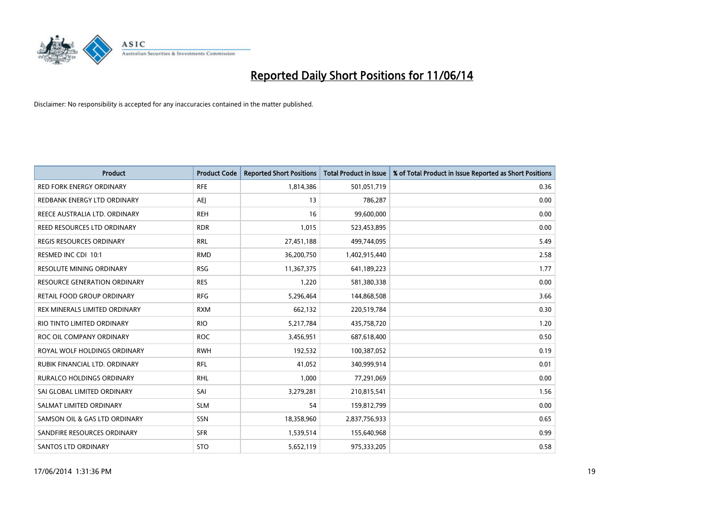

| <b>Product</b>                      | <b>Product Code</b> | <b>Reported Short Positions</b> | <b>Total Product in Issue</b> | % of Total Product in Issue Reported as Short Positions |
|-------------------------------------|---------------------|---------------------------------|-------------------------------|---------------------------------------------------------|
| <b>RED FORK ENERGY ORDINARY</b>     | <b>RFE</b>          | 1,814,386                       | 501,051,719                   | 0.36                                                    |
| REDBANK ENERGY LTD ORDINARY         | AEJ                 | 13                              | 786,287                       | 0.00                                                    |
| REECE AUSTRALIA LTD. ORDINARY       | <b>REH</b>          | 16                              | 99,600,000                    | 0.00                                                    |
| REED RESOURCES LTD ORDINARY         | <b>RDR</b>          | 1,015                           | 523,453,895                   | 0.00                                                    |
| <b>REGIS RESOURCES ORDINARY</b>     | RRL                 | 27,451,188                      | 499,744,095                   | 5.49                                                    |
| RESMED INC CDI 10:1                 | <b>RMD</b>          | 36,200,750                      | 1,402,915,440                 | 2.58                                                    |
| <b>RESOLUTE MINING ORDINARY</b>     | <b>RSG</b>          | 11,367,375                      | 641,189,223                   | 1.77                                                    |
| <b>RESOURCE GENERATION ORDINARY</b> | <b>RES</b>          | 1,220                           | 581,380,338                   | 0.00                                                    |
| <b>RETAIL FOOD GROUP ORDINARY</b>   | <b>RFG</b>          | 5,296,464                       | 144,868,508                   | 3.66                                                    |
| REX MINERALS LIMITED ORDINARY       | <b>RXM</b>          | 662,132                         | 220,519,784                   | 0.30                                                    |
| RIO TINTO LIMITED ORDINARY          | <b>RIO</b>          | 5,217,784                       | 435,758,720                   | 1.20                                                    |
| ROC OIL COMPANY ORDINARY            | <b>ROC</b>          | 3,456,951                       | 687,618,400                   | 0.50                                                    |
| ROYAL WOLF HOLDINGS ORDINARY        | <b>RWH</b>          | 192,532                         | 100,387,052                   | 0.19                                                    |
| RUBIK FINANCIAL LTD, ORDINARY       | <b>RFL</b>          | 41,052                          | 340,999,914                   | 0.01                                                    |
| RURALCO HOLDINGS ORDINARY           | <b>RHL</b>          | 1,000                           | 77,291,069                    | 0.00                                                    |
| SAI GLOBAL LIMITED ORDINARY         | SAI                 | 3,279,281                       | 210,815,541                   | 1.56                                                    |
| SALMAT LIMITED ORDINARY             | <b>SLM</b>          | 54                              | 159,812,799                   | 0.00                                                    |
| SAMSON OIL & GAS LTD ORDINARY       | <b>SSN</b>          | 18,358,960                      | 2,837,756,933                 | 0.65                                                    |
| SANDFIRE RESOURCES ORDINARY         | <b>SFR</b>          | 1,539,514                       | 155,640,968                   | 0.99                                                    |
| SANTOS LTD ORDINARY                 | <b>STO</b>          | 5,652,119                       | 975,333,205                   | 0.58                                                    |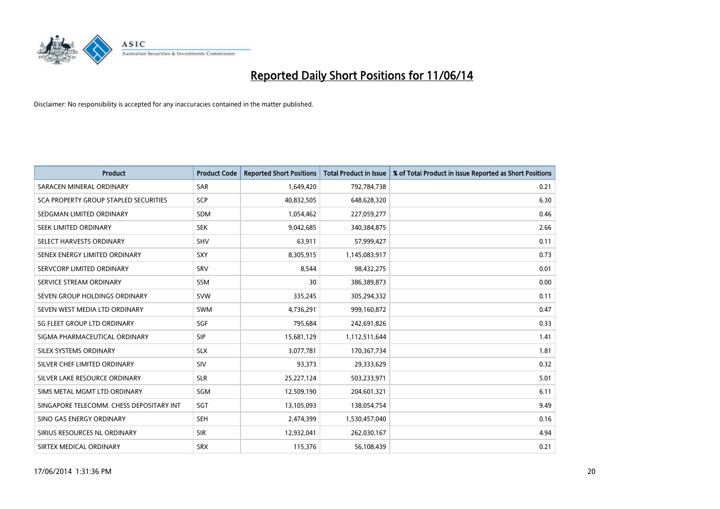

| Product                                  | <b>Product Code</b> | <b>Reported Short Positions</b> | <b>Total Product in Issue</b> | % of Total Product in Issue Reported as Short Positions |
|------------------------------------------|---------------------|---------------------------------|-------------------------------|---------------------------------------------------------|
| SARACEN MINERAL ORDINARY                 | <b>SAR</b>          | 1,649,420                       | 792,784,738                   | 0.21                                                    |
| SCA PROPERTY GROUP STAPLED SECURITIES    | <b>SCP</b>          | 40,832,505                      | 648,628,320                   | 6.30                                                    |
| SEDGMAN LIMITED ORDINARY                 | <b>SDM</b>          | 1,054,462                       | 227,059,277                   | 0.46                                                    |
| SEEK LIMITED ORDINARY                    | <b>SEK</b>          | 9,042,685                       | 340,384,875                   | 2.66                                                    |
| SELECT HARVESTS ORDINARY                 | <b>SHV</b>          | 63,911                          | 57,999,427                    | 0.11                                                    |
| SENEX ENERGY LIMITED ORDINARY            | SXY                 | 8,305,915                       | 1,145,083,917                 | 0.73                                                    |
| SERVCORP LIMITED ORDINARY                | <b>SRV</b>          | 8,544                           | 98,432,275                    | 0.01                                                    |
| SERVICE STREAM ORDINARY                  | <b>SSM</b>          | 30                              | 386,389,873                   | 0.00                                                    |
| SEVEN GROUP HOLDINGS ORDINARY            | <b>SVW</b>          | 335,245                         | 305,294,332                   | 0.11                                                    |
| SEVEN WEST MEDIA LTD ORDINARY            | SWM                 | 4,736,291                       | 999,160,872                   | 0.47                                                    |
| SG FLEET GROUP LTD ORDINARY              | SGF                 | 795,684                         | 242,691,826                   | 0.33                                                    |
| SIGMA PHARMACEUTICAL ORDINARY            | <b>SIP</b>          | 15,681,129                      | 1,112,511,644                 | 1.41                                                    |
| SILEX SYSTEMS ORDINARY                   | <b>SLX</b>          | 3,077,781                       | 170,367,734                   | 1.81                                                    |
| SILVER CHEF LIMITED ORDINARY             | SIV                 | 93,373                          | 29,333,629                    | 0.32                                                    |
| SILVER LAKE RESOURCE ORDINARY            | <b>SLR</b>          | 25,227,124                      | 503,233,971                   | 5.01                                                    |
| SIMS METAL MGMT LTD ORDINARY             | SGM                 | 12,509,190                      | 204,601,321                   | 6.11                                                    |
| SINGAPORE TELECOMM. CHESS DEPOSITARY INT | SGT                 | 13,105,093                      | 138,054,754                   | 9.49                                                    |
| SINO GAS ENERGY ORDINARY                 | <b>SEH</b>          | 2,474,399                       | 1,530,457,040                 | 0.16                                                    |
| SIRIUS RESOURCES NL ORDINARY             | <b>SIR</b>          | 12,932,041                      | 262,030,167                   | 4.94                                                    |
| SIRTEX MEDICAL ORDINARY                  | <b>SRX</b>          | 115,376                         | 56,108,439                    | 0.21                                                    |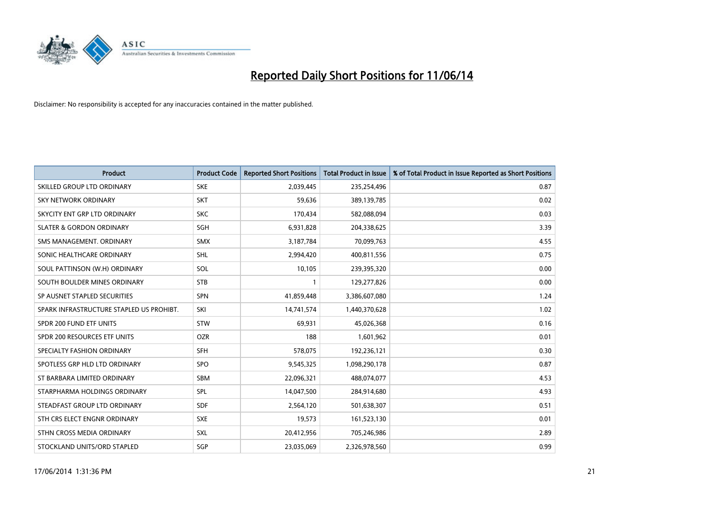

| <b>Product</b>                           | <b>Product Code</b> | <b>Reported Short Positions</b> | <b>Total Product in Issue</b> | % of Total Product in Issue Reported as Short Positions |
|------------------------------------------|---------------------|---------------------------------|-------------------------------|---------------------------------------------------------|
| SKILLED GROUP LTD ORDINARY               | <b>SKE</b>          | 2,039,445                       | 235,254,496                   | 0.87                                                    |
| SKY NETWORK ORDINARY                     | <b>SKT</b>          | 59,636                          | 389,139,785                   | 0.02                                                    |
| SKYCITY ENT GRP LTD ORDINARY             | <b>SKC</b>          | 170,434                         | 582,088,094                   | 0.03                                                    |
| <b>SLATER &amp; GORDON ORDINARY</b>      | <b>SGH</b>          | 6,931,828                       | 204,338,625                   | 3.39                                                    |
| SMS MANAGEMENT, ORDINARY                 | <b>SMX</b>          | 3,187,784                       | 70,099,763                    | 4.55                                                    |
| SONIC HEALTHCARE ORDINARY                | SHL                 | 2,994,420                       | 400,811,556                   | 0.75                                                    |
| SOUL PATTINSON (W.H) ORDINARY            | SOL                 | 10,105                          | 239,395,320                   | 0.00                                                    |
| SOUTH BOULDER MINES ORDINARY             | <b>STB</b>          | $\mathbf{1}$                    | 129,277,826                   | 0.00                                                    |
| SP AUSNET STAPLED SECURITIES             | <b>SPN</b>          | 41,859,448                      | 3,386,607,080                 | 1.24                                                    |
| SPARK INFRASTRUCTURE STAPLED US PROHIBT. | SKI                 | 14,741,574                      | 1,440,370,628                 | 1.02                                                    |
| SPDR 200 FUND ETF UNITS                  | STW                 | 69,931                          | 45,026,368                    | 0.16                                                    |
| SPDR 200 RESOURCES ETF UNITS             | <b>OZR</b>          | 188                             | 1,601,962                     | 0.01                                                    |
| SPECIALTY FASHION ORDINARY               | <b>SFH</b>          | 578,075                         | 192,236,121                   | 0.30                                                    |
| SPOTLESS GRP HLD LTD ORDINARY            | <b>SPO</b>          | 9,545,325                       | 1,098,290,178                 | 0.87                                                    |
| ST BARBARA LIMITED ORDINARY              | <b>SBM</b>          | 22,096,321                      | 488,074,077                   | 4.53                                                    |
| STARPHARMA HOLDINGS ORDINARY             | SPL                 | 14,047,500                      | 284,914,680                   | 4.93                                                    |
| STEADFAST GROUP LTD ORDINARY             | <b>SDF</b>          | 2,564,120                       | 501,638,307                   | 0.51                                                    |
| STH CRS ELECT ENGNR ORDINARY             | <b>SXE</b>          | 19,573                          | 161,523,130                   | 0.01                                                    |
| STHN CROSS MEDIA ORDINARY                | <b>SXL</b>          | 20,412,956                      | 705,246,986                   | 2.89                                                    |
| STOCKLAND UNITS/ORD STAPLED              | SGP                 | 23,035,069                      | 2,326,978,560                 | 0.99                                                    |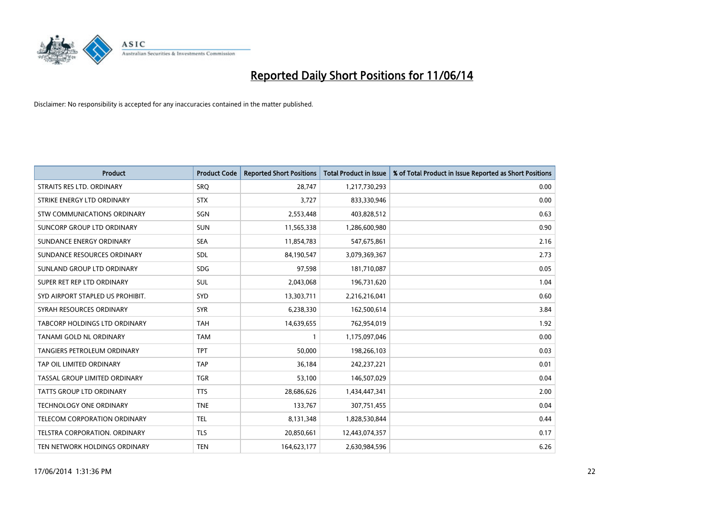

| <b>Product</b>                     | <b>Product Code</b> | <b>Reported Short Positions</b> | <b>Total Product in Issue</b> | % of Total Product in Issue Reported as Short Positions |
|------------------------------------|---------------------|---------------------------------|-------------------------------|---------------------------------------------------------|
| STRAITS RES LTD. ORDINARY          | SRO                 | 28,747                          | 1,217,730,293                 | 0.00                                                    |
| STRIKE ENERGY LTD ORDINARY         | <b>STX</b>          | 3,727                           | 833,330,946                   | 0.00                                                    |
| STW COMMUNICATIONS ORDINARY        | SGN                 | 2,553,448                       | 403,828,512                   | 0.63                                                    |
| SUNCORP GROUP LTD ORDINARY         | <b>SUN</b>          | 11,565,338                      | 1,286,600,980                 | 0.90                                                    |
| SUNDANCE ENERGY ORDINARY           | <b>SEA</b>          | 11,854,783                      | 547,675,861                   | 2.16                                                    |
| SUNDANCE RESOURCES ORDINARY        | SDL                 | 84,190,547                      | 3,079,369,367                 | 2.73                                                    |
| SUNLAND GROUP LTD ORDINARY         | <b>SDG</b>          | 97.598                          | 181,710,087                   | 0.05                                                    |
| SUPER RET REP LTD ORDINARY         | <b>SUL</b>          | 2,043,068                       | 196,731,620                   | 1.04                                                    |
| SYD AIRPORT STAPLED US PROHIBIT.   | <b>SYD</b>          | 13,303,711                      | 2,216,216,041                 | 0.60                                                    |
| SYRAH RESOURCES ORDINARY           | <b>SYR</b>          | 6,238,330                       | 162,500,614                   | 3.84                                                    |
| TABCORP HOLDINGS LTD ORDINARY      | <b>TAH</b>          | 14,639,655                      | 762,954,019                   | 1.92                                                    |
| TANAMI GOLD NL ORDINARY            | <b>TAM</b>          | $\mathbf{1}$                    | 1,175,097,046                 | 0.00                                                    |
| <b>TANGIERS PETROLEUM ORDINARY</b> | <b>TPT</b>          | 50,000                          | 198,266,103                   | 0.03                                                    |
| TAP OIL LIMITED ORDINARY           | <b>TAP</b>          | 36,184                          | 242,237,221                   | 0.01                                                    |
| TASSAL GROUP LIMITED ORDINARY      | <b>TGR</b>          | 53,100                          | 146,507,029                   | 0.04                                                    |
| <b>TATTS GROUP LTD ORDINARY</b>    | <b>TTS</b>          | 28,686,626                      | 1,434,447,341                 | 2.00                                                    |
| TECHNOLOGY ONE ORDINARY            | <b>TNE</b>          | 133,767                         | 307,751,455                   | 0.04                                                    |
| TELECOM CORPORATION ORDINARY       | <b>TEL</b>          | 8,131,348                       | 1,828,530,844                 | 0.44                                                    |
| TELSTRA CORPORATION, ORDINARY      | <b>TLS</b>          | 20,850,661                      | 12,443,074,357                | 0.17                                                    |
| TEN NETWORK HOLDINGS ORDINARY      | <b>TEN</b>          | 164,623,177                     | 2,630,984,596                 | 6.26                                                    |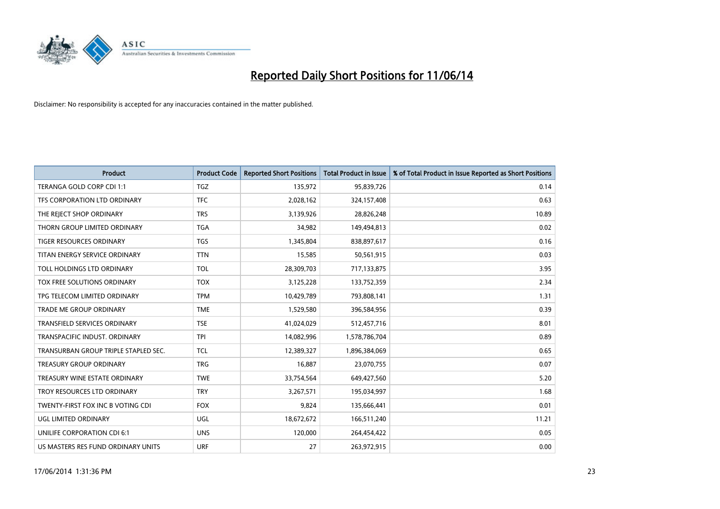

| Product                              | <b>Product Code</b> | <b>Reported Short Positions</b> | Total Product in Issue | % of Total Product in Issue Reported as Short Positions |
|--------------------------------------|---------------------|---------------------------------|------------------------|---------------------------------------------------------|
| TERANGA GOLD CORP CDI 1:1            | <b>TGZ</b>          | 135,972                         | 95,839,726             | 0.14                                                    |
| TFS CORPORATION LTD ORDINARY         | <b>TFC</b>          | 2,028,162                       | 324,157,408            | 0.63                                                    |
| THE REJECT SHOP ORDINARY             | <b>TRS</b>          | 3,139,926                       | 28,826,248             | 10.89                                                   |
| THORN GROUP LIMITED ORDINARY         | <b>TGA</b>          | 34,982                          | 149,494,813            | 0.02                                                    |
| <b>TIGER RESOURCES ORDINARY</b>      | TGS                 | 1,345,804                       | 838,897,617            | 0.16                                                    |
| TITAN ENERGY SERVICE ORDINARY        | <b>TTN</b>          | 15,585                          | 50,561,915             | 0.03                                                    |
| TOLL HOLDINGS LTD ORDINARY           | <b>TOL</b>          | 28,309,703                      | 717,133,875            | 3.95                                                    |
| TOX FREE SOLUTIONS ORDINARY          | <b>TOX</b>          | 3,125,228                       | 133,752,359            | 2.34                                                    |
| TPG TELECOM LIMITED ORDINARY         | <b>TPM</b>          | 10,429,789                      | 793,808,141            | 1.31                                                    |
| <b>TRADE ME GROUP ORDINARY</b>       | <b>TME</b>          | 1,529,580                       | 396,584,956            | 0.39                                                    |
| TRANSFIELD SERVICES ORDINARY         | <b>TSE</b>          | 41,024,029                      | 512,457,716            | 8.01                                                    |
| TRANSPACIFIC INDUST, ORDINARY        | <b>TPI</b>          | 14,082,996                      | 1,578,786,704          | 0.89                                                    |
| TRANSURBAN GROUP TRIPLE STAPLED SEC. | <b>TCL</b>          | 12,389,327                      | 1,896,384,069          | 0.65                                                    |
| <b>TREASURY GROUP ORDINARY</b>       | <b>TRG</b>          | 16,887                          | 23,070,755             | 0.07                                                    |
| TREASURY WINE ESTATE ORDINARY        | <b>TWE</b>          | 33,754,564                      | 649,427,560            | 5.20                                                    |
| TROY RESOURCES LTD ORDINARY          | <b>TRY</b>          | 3,267,571                       | 195,034,997            | 1.68                                                    |
| TWENTY-FIRST FOX INC B VOTING CDI    | <b>FOX</b>          | 9,824                           | 135,666,441            | 0.01                                                    |
| UGL LIMITED ORDINARY                 | UGL                 | 18,672,672                      | 166,511,240            | 11.21                                                   |
| UNILIFE CORPORATION CDI 6:1          | <b>UNS</b>          | 120,000                         | 264,454,422            | 0.05                                                    |
| US MASTERS RES FUND ORDINARY UNITS   | <b>URF</b>          | 27                              | 263,972,915            | 0.00                                                    |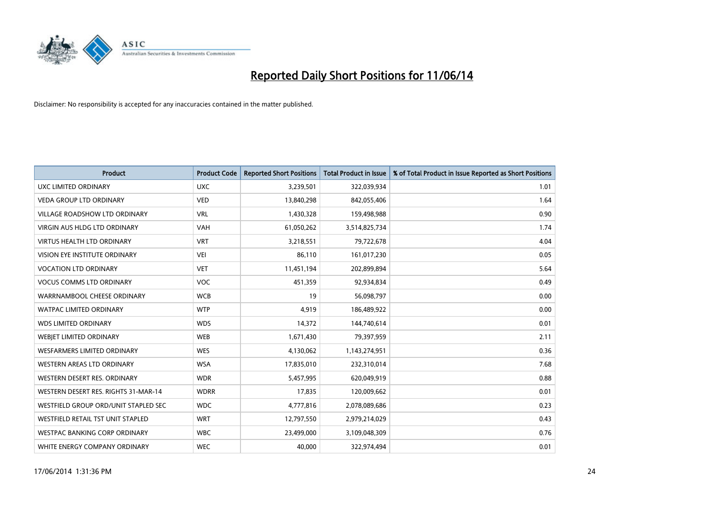

| <b>Product</b>                       | <b>Product Code</b> | <b>Reported Short Positions</b> | Total Product in Issue | % of Total Product in Issue Reported as Short Positions |
|--------------------------------------|---------------------|---------------------------------|------------------------|---------------------------------------------------------|
| UXC LIMITED ORDINARY                 | <b>UXC</b>          | 3,239,501                       | 322,039,934            | 1.01                                                    |
| <b>VEDA GROUP LTD ORDINARY</b>       | <b>VED</b>          | 13,840,298                      | 842,055,406            | 1.64                                                    |
| <b>VILLAGE ROADSHOW LTD ORDINARY</b> | <b>VRL</b>          | 1,430,328                       | 159,498,988            | 0.90                                                    |
| <b>VIRGIN AUS HLDG LTD ORDINARY</b>  | <b>VAH</b>          | 61,050,262                      | 3,514,825,734          | 1.74                                                    |
| <b>VIRTUS HEALTH LTD ORDINARY</b>    | <b>VRT</b>          | 3,218,551                       | 79,722,678             | 4.04                                                    |
| VISION EYE INSTITUTE ORDINARY        | VEI                 | 86,110                          | 161,017,230            | 0.05                                                    |
| <b>VOCATION LTD ORDINARY</b>         | <b>VET</b>          | 11,451,194                      | 202,899,894            | 5.64                                                    |
| <b>VOCUS COMMS LTD ORDINARY</b>      | <b>VOC</b>          | 451,359                         | 92,934,834             | 0.49                                                    |
| WARRNAMBOOL CHEESE ORDINARY          | <b>WCB</b>          | 19                              | 56,098,797             | 0.00                                                    |
| <b>WATPAC LIMITED ORDINARY</b>       | <b>WTP</b>          | 4,919                           | 186,489,922            | 0.00                                                    |
| <b>WDS LIMITED ORDINARY</b>          | <b>WDS</b>          | 14,372                          | 144,740,614            | 0.01                                                    |
| WEBIET LIMITED ORDINARY              | <b>WEB</b>          | 1,671,430                       | 79,397,959             | 2.11                                                    |
| <b>WESFARMERS LIMITED ORDINARY</b>   | <b>WES</b>          | 4,130,062                       | 1,143,274,951          | 0.36                                                    |
| WESTERN AREAS LTD ORDINARY           | <b>WSA</b>          | 17,835,010                      | 232,310,014            | 7.68                                                    |
| WESTERN DESERT RES. ORDINARY         | <b>WDR</b>          | 5,457,995                       | 620,049,919            | 0.88                                                    |
| WESTERN DESERT RES. RIGHTS 31-MAR-14 | <b>WDRR</b>         | 17,835                          | 120,009,662            | 0.01                                                    |
| WESTFIELD GROUP ORD/UNIT STAPLED SEC | <b>WDC</b>          | 4,777,816                       | 2,078,089,686          | 0.23                                                    |
| WESTFIELD RETAIL TST UNIT STAPLED    | <b>WRT</b>          | 12,797,550                      | 2,979,214,029          | 0.43                                                    |
| <b>WESTPAC BANKING CORP ORDINARY</b> | <b>WBC</b>          | 23,499,000                      | 3,109,048,309          | 0.76                                                    |
| WHITE ENERGY COMPANY ORDINARY        | <b>WEC</b>          | 40,000                          | 322,974,494            | 0.01                                                    |